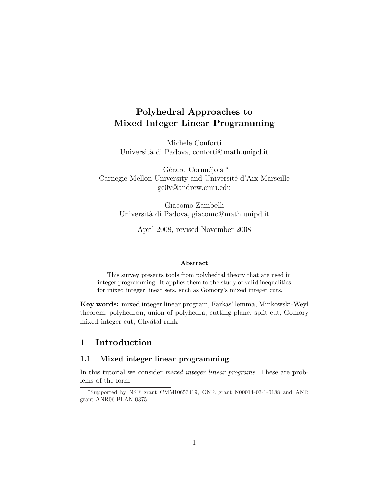# Polyhedral Approaches to Mixed Integer Linear Programming

Michele Conforti Universit`a di Padova, conforti@math.unipd.it

Gérard Cornuéjols \* Carnegie Mellon University and Université d'Aix-Marseille gc0v@andrew.cmu.edu

> Giacomo Zambelli Universit`a di Padova, giacomo@math.unipd.it

> > April 2008, revised November 2008

#### Abstract

This survey presents tools from polyhedral theory that are used in integer programming. It applies them to the study of valid inequalities for mixed integer linear sets, such as Gomory's mixed integer cuts.

Key words: mixed integer linear program, Farkas' lemma, Minkowski-Weyl theorem, polyhedron, union of polyhedra, cutting plane, split cut, Gomory mixed integer cut, Chvátal rank

# 1 Introduction

#### 1.1 Mixed integer linear programming

In this tutorial we consider *mixed integer linear programs*. These are problems of the form

<sup>∗</sup>Supported by NSF grant CMMI0653419, ONR grant N00014-03-1-0188 and ANR grant ANR06-BLAN-0375.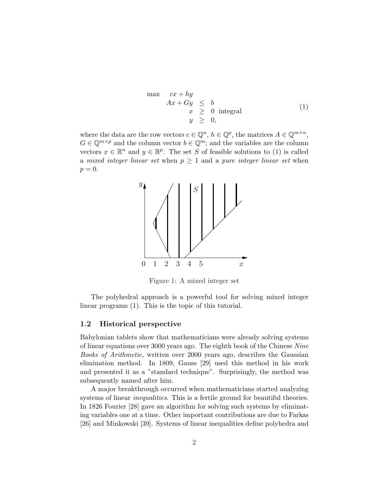$$
\begin{array}{rcl}\n\max & cx + hy \\
Ax + Gy & \leq & b \\
x & \geq & 0 \text{ integral} \\
y & \geq & 0,\n\end{array} \tag{1}
$$

where the data are the row vectors  $c \in \mathbb{Q}^n$ ,  $h \in \mathbb{Q}^p$ , the matrices  $A \in \mathbb{Q}^{m \times n}$ ,  $G \in \mathbb{Q}^{m \times p}$  and the column vector  $b \in \mathbb{Q}^m$ ; and the variables are the column vectors  $x \in \mathbb{R}^n$  and  $y \in \mathbb{R}^p$ . The set S of feasible solutions to (1) is called a mixed integer linear set when  $p \geq 1$  and a pure integer linear set when  $p=0.$ 



Figure 1: A mixed integer set

The polyhedral approach is a powerful tool for solving mixed integer linear programs (1). This is the topic of this tutorial.

#### 1.2 Historical perspective

Babylonian tablets show that mathematicians were already solving systems of linear equations over 3000 years ago. The eighth book of the Chinese Nine Books of Arithmetic, written over 2000 years ago, describes the Gaussian elimination method. In 1809, Gauss [29] used this method in his work and presented it as a "standard technique". Surprisingly, the method was subsequently named after him.

A major breakthrough occurred when mathematicians started analyzing systems of linear *inequalities*. This is a fertile ground for beautiful theories. In 1826 Fourier [28] gave an algorithm for solving such systems by eliminating variables one at a time. Other important contributions are due to Farkas [26] and Minkowski [39]. Systems of linear inequalities define polyhedra and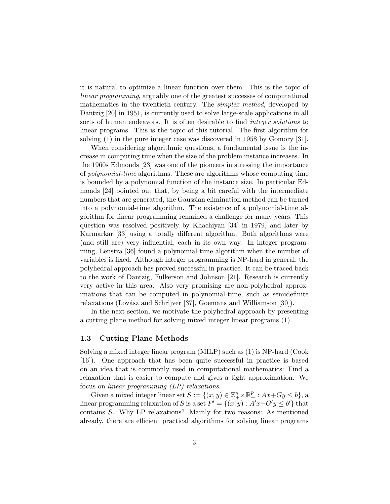it is natural to optimize a linear function over them. This is the topic of linear programming, arguably one of the greatest successes of computational mathematics in the twentieth century. The simplex method, developed by Dantzig [20] in 1951, is currently used to solve large-scale applications in all sorts of human endeavors. It is often desirable to find integer solutions to linear programs. This is the topic of this tutorial. The first algorithm for solving (1) in the pure integer case was discovered in 1958 by Gomory [31].

When considering algorithmic questions, a fundamental issue is the increase in computing time when the size of the problem instance increases. In the 1960s Edmonds [23] was one of the pioneers in stressing the importance of polynomial-time algorithms. These are algorithms whose computing time is bounded by a polynomial function of the instance size. In particular Edmonds [24] pointed out that, by being a bit careful with the intermediate numbers that are generated, the Gaussian elimination method can be turned into a polynomial-time algorithm. The existence of a polynomial-time algorithm for linear programming remained a challenge for many years. This question was resolved positively by Khachiyan [34] in 1979, and later by Karmarkar [33] using a totally different algorithm. Both algorithms were (and still are) very influential, each in its own way. In integer programming, Lenstra [36] found a polynomial-time algorithm when the number of variables is fixed. Although integer programming is NP-hard in general, the polyhedral approach has proved successful in practice. It can be traced back to the work of Dantzig, Fulkerson and Johnson [21]. Research is currently very active in this area. Also very promising are non-polyhedral approximations that can be computed in polynomial-time, such as semidefinite relaxations (Lovász and Schrijver [37], Goemans and Williamson [30]).

In the next section, we motivate the polyhedral approach by presenting a cutting plane method for solving mixed integer linear programs (1).

#### 1.3 Cutting Plane Methods

Solving a mixed integer linear program (MILP) such as (1) is NP-hard (Cook [16]). One approach that has been quite successful in practice is based on an idea that is commonly used in computational mathematics: Find a relaxation that is easier to compute and gives a tight approximation. We focus on *linear programming (LP) relaxations*.

Given a mixed integer linear set  $S := \{(x, y) \in \mathbb{Z}_{+}^{n} \times \mathbb{R}_{+}^{p} : Ax + Gy \leq b\}$ , a linear programming relaxation of S is a set  $P' = \{(x, y) : A'x + G'y \leq b'\}$  that contains S. Why LP relaxations? Mainly for two reasons: As mentioned already, there are efficient practical algorithms for solving linear programs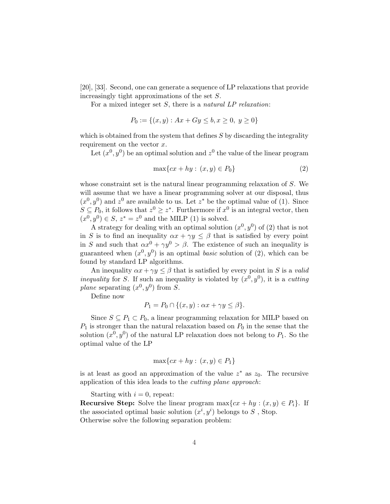[20], [33]. Second, one can generate a sequence of LP relaxations that provide increasingly tight approximations of the set S.

For a mixed integer set  $S$ , there is a natural  $LP$  relaxation:

$$
P_0 := \{(x, y) : Ax + Gy \le b, x \ge 0, y \ge 0\}
$$

which is obtained from the system that defines  $S$  by discarding the integrality requirement on the vector  $x$ .

Let  $(x^0, y^0)$  be an optimal solution and  $z^0$  the value of the linear program

$$
\max\{cx + hy : (x, y) \in P_0\}\tag{2}
$$

whose constraint set is the natural linear programming relaxation of S. We will assume that we have a linear programming solver at our disposal, thus  $(x^0, y^0)$  and  $z^0$  are available to us. Let  $z^*$  be the optimal value of (1). Since  $S \subseteq P_0$ , it follows that  $z^0 \geq z^*$ . Furthermore if  $x^0$  is an integral vector, then  $(x^0, y^0) \in S$ ,  $z^* = z^0$  and the MILP (1) is solved.

A strategy for dealing with an optimal solution  $(x^0, y^0)$  of (2) that is not in S is to find an inequality  $\alpha x + \gamma y \leq \beta$  that is satisfied by every point in S and such that  $\alpha x^0 + \gamma y^0 > \beta$ . The existence of such an inequality is guaranteed when  $(x^0, y^0)$  is an optimal *basic* solution of (2), which can be found by standard LP algorithms.

An inequality  $\alpha x + \gamma y \leq \beta$  that is satisfied by every point in S is a valid *inequality* for S. If such an inequality is violated by  $(x^0, y^0)$ , it is a cutting plane separating  $(x^0, y^0)$  from S.

Define now

$$
P_1 = P_0 \cap \{(x, y) : \alpha x + \gamma y \le \beta\}.
$$

Since  $S \subseteq P_1 \subset P_0$ , a linear programming relaxation for MILP based on  $P_1$  is stronger than the natural relaxation based on  $P_0$  in the sense that the solution  $(x^0, y^0)$  of the natural LP relaxation does not belong to  $P_1$ . So the optimal value of the LP

$$
\max\{cx + hy : (x, y) \in P_1\}
$$

is at least as good an approximation of the value  $z^*$  as  $z_0$ . The recursive application of this idea leads to the cutting plane approach:

Starting with  $i = 0$ , repeat:

**Recursive Step:** Solve the linear program  $\max\{cx + hy : (x, y) \in P_i\}$ . If the associated optimal basic solution  $(x^i, y^i)$  belongs to S, Stop. Otherwise solve the following separation problem: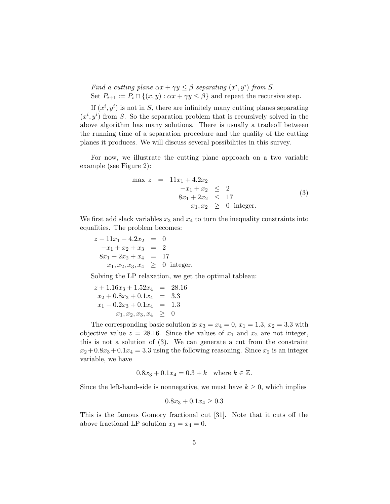Find a cutting plane  $\alpha x + \gamma y \leq \beta$  separating  $(x^i, y^i)$  from S. Set  $P_{i+1} := P_i \cap \{(x, y) : \alpha x + \gamma y \leq \beta\}$  and repeat the recursive step.

If  $(x^i, y^i)$  is not in S, there are infinitely many cutting planes separating  $(x^{i}, y^{i})$  from S. So the separation problem that is recursively solved in the above algorithm has many solutions. There is usually a tradeoff between the running time of a separation procedure and the quality of the cutting planes it produces. We will discuss several possibilities in this survey.

For now, we illustrate the cutting plane approach on a two variable example (see Figure 2):

$$
\max z = 11x_1 + 4.2x_2
$$
  
\n
$$
-x_1 + x_2 \le 2
$$
  
\n
$$
8x_1 + 2x_2 \le 17
$$
  
\n
$$
x_1, x_2 \ge 0 \text{ integer.}
$$
\n(3)

We first add slack variables  $x_3$  and  $x_4$  to turn the inequality constraints into equalities. The problem becomes:

 $z - 11x_1 - 4.2x_2 = 0$  $-x_1 + x_2 + x_3 = 2$  $8x_1 + 2x_2 + x_4 = 17$  $x_1, x_2, x_3, x_4 \geq 0$  integer.

Solving the LP relaxation, we get the optimal tableau:

$$
z + 1.16x_3 + 1.52x_4 = 28.16
$$
  
\n
$$
x_2 + 0.8x_3 + 0.1x_4 = 3.3
$$
  
\n
$$
x_1 - 0.2x_3 + 0.1x_4 = 1.3
$$
  
\n
$$
x_1, x_2, x_3, x_4 \ge 0
$$

The corresponding basic solution is  $x_3 = x_4 = 0, x_1 = 1.3, x_2 = 3.3$  with objective value  $z = 28.16$ . Since the values of  $x_1$  and  $x_2$  are not integer. this is not a solution of (3). We can generate a cut from the constraint  $x_2 + 0.8x_3 + 0.1x_4 = 3.3$  using the following reasoning. Since  $x_2$  is an integer variable, we have

$$
0.8x_3 + 0.1x_4 = 0.3 + k
$$
 where  $k \in \mathbb{Z}$ .

Since the left-hand-side is nonnegative, we must have  $k \geq 0$ , which implies

$$
0.8x_3 + 0.1x_4 \ge 0.3
$$

This is the famous Gomory fractional cut [31]. Note that it cuts off the above fractional LP solution  $x_3 = x_4 = 0$ .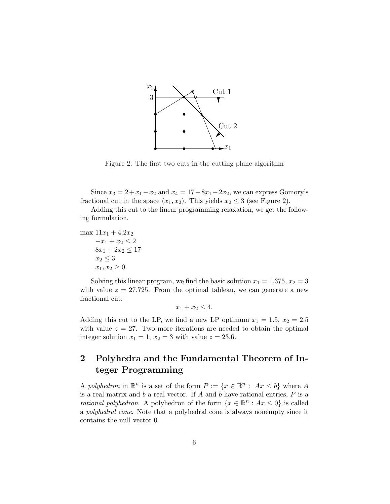

Figure 2: The first two cuts in the cutting plane algorithm

Since  $x_3 = 2 + x_1 - x_2$  and  $x_4 = 17 - 8x_1 - 2x_2$ , we can express Gomory's fractional cut in the space  $(x_1, x_2)$ . This yields  $x_2 \leq 3$  (see Figure 2).

Adding this cut to the linear programming relaxation, we get the following formulation.

max  $11x_1 + 4.2x_2$  $-x_1 + x_2 \leq 2$  $8x_1 + 2x_2 \leq 17$  $x_2 \leq 3$  $x_1, x_2 \geq 0.$ 

Solving this linear program, we find the basic solution  $x_1 = 1.375, x_2 = 3$ with value  $z = 27.725$ . From the optimal tableau, we can generate a new fractional cut:

$$
x_1 + x_2 \le 4.
$$

Adding this cut to the LP, we find a new LP optimum  $x_1 = 1.5, x_2 = 2.5$ with value  $z = 27$ . Two more iterations are needed to obtain the optimal integer solution  $x_1 = 1$ ,  $x_2 = 3$  with value  $z = 23.6$ .

# 2 Polyhedra and the Fundamental Theorem of Integer Programming

A polyhedron in  $\mathbb{R}^n$  is a set of the form  $P := \{x \in \mathbb{R}^n : Ax \leq b\}$  where A is a real matrix and  $b$  a real vector. If  $A$  and  $b$  have rational entries,  $P$  is a *rational polyhedron*. A polyhedron of the form  $\{x \in \mathbb{R}^n : Ax \leq 0\}$  is called a polyhedral cone. Note that a polyhedral cone is always nonempty since it contains the null vector 0.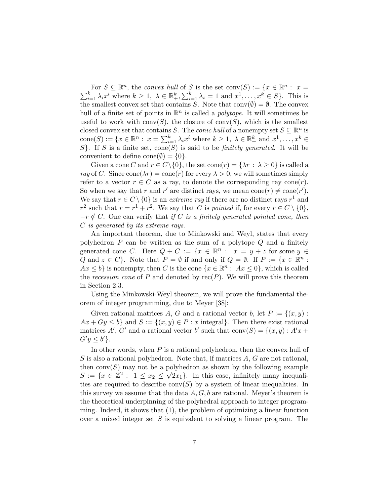For  $S \subseteq \mathbb{R}^n$ , the convex hull of S is the set conv $(S) := \{x \in \mathbb{R}^n : x = \sum_{i=1}^k \lambda_i x^i$  where  $k \ge 1, \ \lambda \in \mathbb{R}^k_+, \sum_{i=1}^k \lambda_i = 1$  and  $x^1, \dots, x^k \in S\}$ . This is  $_{i=1}^k \lambda_i = 1$  and  $x^1, \ldots, x^k \in S$ . This is the smallest convex set that contains S. Note that  $conv(\emptyset) = \emptyset$ . The convex hull of a finite set of points in  $\mathbb{R}^n$  is called a *polytope*. It will sometimes be useful to work with  $\overline{conv}(S)$ , the closure of conv $(S)$ , which is the smallest closed convex set that contains S. The *conic hull* of a nonempty set  $S \subseteq \mathbb{R}^n$  is cone  $S := \{x \in \mathbb{R}^n : x = \sum_{i=1}^k x_i\}$  $x_{i=1}^k \lambda_i x^i$  where  $k \geq 1, \lambda \in \mathbb{R}_+^k$  and  $x^1, \ldots, x^k \in$ S}. If S is a finite set, cone(S) is said to be *finitely generated*. It will be convenient to define cone( $\emptyset$ ) = {0}.

Given a cone C and  $r \in C \setminus \{0\}$ , the set cone $(r) = \{\lambda r : \lambda \geq 0\}$  is called a ray of C. Since cone  $(\lambda r) = \text{cone}(r)$  for every  $\lambda > 0$ , we will sometimes simply refer to a vector  $r \in C$  as a ray, to denote the corresponding ray cone(*r*). So when we say that r and r' are distinct rays, we mean cone(r)  $\neq$  cone(r'). We say that  $r \in C \setminus \{0\}$  is an *extreme ray* if there are no distinct rays  $r^1$  and  $r^2$  such that  $r = r^1 + r^2$ . We say that C is pointed if, for every  $r \in C \setminus \{0\}$ ,  $-r \notin C$ . One can verify that if C is a finitely generated pointed cone, then C is generated by its extreme rays.

An important theorem, due to Minkowski and Weyl, states that every polyhedron  $P$  can be written as the sum of a polytope  $Q$  and a finitely generated cone C. Here  $Q + C := \{x \in \mathbb{R}^n : x = y + z \text{ for some } y \in \mathbb{R}^n\}$ Q and  $z \in C$ . Note that  $P = \emptyset$  if and only if  $Q = \emptyset$ . If  $P := \{x \in \mathbb{R}^n : \emptyset\}$  $Ax \leq b$  is nonempty, then C is the cone  $\{x \in \mathbb{R}^n : Ax \leq 0\}$ , which is called the recession cone of P and denoted by  $rec(P)$ . We will prove this theorem in Section 2.3.

Using the Minkowski-Weyl theorem, we will prove the fundamental theorem of integer programming, due to Meyer [38]:

Given rational matrices A, G and a rational vector b, let  $P := \{(x, y) :$  $Ax + Gy \leq b$  and  $S := \{(x, y) \in P : x \text{ integral}\}.$  Then there exist rational matrices A', G' and a rational vector b' such that  $conv(S) = \{(x, y) : A'x +$  $G'y \leq b'\}.$ 

In other words, when  $P$  is a rational polyhedron, then the convex hull of  $S$  is also a rational polyhedron. Note that, if matrices  $A, G$  are not rational, then conv $(S)$  may not be a polyhedron as shown by the following example  $S := \{x \in \mathbb{Z}^2 : 1 \leq x_2 \leq \sqrt{2}x_1\}.$  In this case, infinitely many inequalities are required to describe  $conv(S)$  by a system of linear inequalities. In this survey we assume that the data  $A, G, b$  are rational. Meyer's theorem is the theoretical underpinning of the polyhedral approach to integer programming. Indeed, it shows that (1), the problem of optimizing a linear function over a mixed integer set  $S$  is equivalent to solving a linear program. The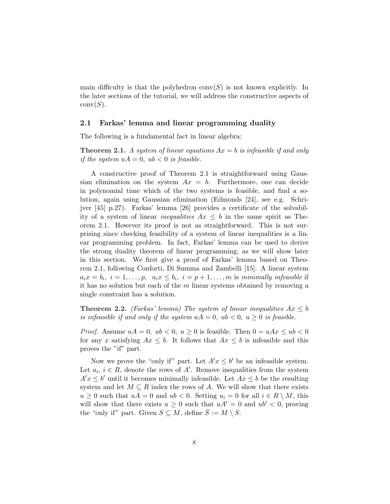main difficulty is that the polyhedron  $conv(S)$  is not known explicitly. In the later sections of the tutorial, we will address the constructive aspects of  $conv(S)$ .

#### 2.1 Farkas' lemma and linear programming duality

The following is a fundamental fact in linear algebra:

**Theorem 2.1.** A system of linear equations  $Ax = b$  is infeasible if and only if the system  $uA = 0$ ,  $ub < 0$  is feasible.

A constructive proof of Theorem 2.1 is straightforward using Gaussian elimination on the system  $Ax = b$ . Furthermore, one can decide in polynomial time which of the two systems is feasible, and find a solution, again using Gaussian elimination (Edmonds [24], see e.g. Schrijver [45] p.27). Farkas' lemma [26] provides a certificate of the solvability of a system of linear *inequalities*  $Ax \leq b$  in the same spirit as Theorem 2.1. However its proof is not as straightforward. This is not surprising since checking feasibility of a system of linear inequalities is a linear programming problem. In fact, Farkas' lemma can be used to derive the strong duality theorem of linear programming, as we will show later in this section. We first give a proof of Farkas' lemma based on Theorem 2.1, following Conforti, Di Summa and Zambelli [15]. A linear system  $a_ix = b_i$ ,  $i = 1, \ldots, p$ ,  $a_ix \leq b_i$ ,  $i = p + 1, \ldots, m$  is minimally infeasible if it has no solution but each of the  $m$  linear systems obtained by removing a single constraint has a solution.

**Theorem 2.2.** (Farkas' lemma) The system of linear inequalities  $Ax \leq b$ is infeasible if and only if the system  $uA = 0$ ,  $ub < 0$ ,  $u \ge 0$  is feasible.

*Proof.* Assume  $uA = 0$ ,  $ub < 0$ ,  $u \ge 0$  is feasible. Then  $0 = uAx \le ub < 0$ for any x satisfying  $Ax \leq b$ . It follows that  $Ax \leq b$  is infeasible and this proves the "if" part.

Now we prove the "only if" part. Let  $A'x \leq b'$  be an infeasible system. Let  $a_i, i \in R$ , denote the rows of A'. Remove inequalities from the system  $A'x \leq b'$  until it becomes minimally infeasible. Let  $Ax \leq b$  be the resulting system and let  $M \subseteq R$  index the rows of A. We will show that there exists  $u \geq 0$  such that  $uA = 0$  and  $ub < 0$ . Setting  $u_i = 0$  for all  $i \in R \setminus M$ , this will show that there exists  $u \geq 0$  such that  $uA' = 0$  and  $u b' < 0$ , proving the "only if" part. Given  $S \subseteq M$ , define  $\overline{S} := M \setminus S$ .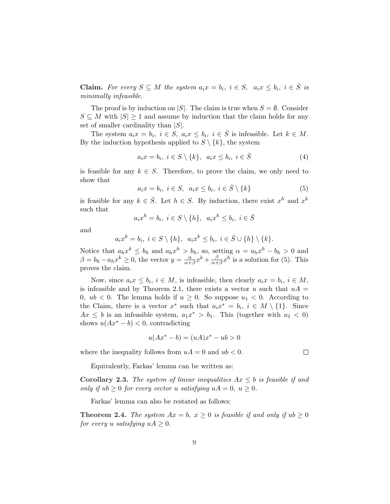**Claim.** For every  $S \subseteq M$  the system  $a_i x = b_i$ ,  $i \in S$ ,  $a_i x \leq b_i$ ,  $i \in \overline{S}$  is minimally infeasible.

The proof is by induction on  $|S|$ . The claim is true when  $S = \emptyset$ . Consider  $S \subseteq M$  with  $|S| \geq 1$  and assume by induction that the claim holds for any set of smaller cardinality than  $|S|$ .

The system  $a_i x = b_i$ ,  $i \in S$ ,  $a_i x \leq b_i$ ,  $i \in \overline{S}$  is infeasible. Let  $k \in M$ . By the induction hypothesis applied to  $S \setminus \{k\}$ , the system

$$
a_i x = b_i, i \in S \setminus \{k\}, a_i x \le b_i, i \in \overline{S}
$$
\n
$$
(4)
$$

is feasible for any  $k \in S$ . Therefore, to prove the claim, we only need to show that

$$
a_i x = b_i, i \in S, a_i x \le b_i, i \in \overline{S} \setminus \{k\}
$$
 (5)

is feasible for any  $k \in \overline{S}$ . Let  $h \in S$ . By induction, there exist  $x^h$  and  $x^k$ such that

$$
a_i x^h = b_i, \ i \in S \setminus \{h\}, \ a_i x^h \le b_i, \ i \in \overline{S}
$$

and

$$
a_ix^k = b_i, i \in S \setminus \{h\}, a_ix^k \leq b_i, i \in \overline{S} \cup \{h\} \setminus \{k\}.
$$

Notice that  $a_h x^k \leq b_h$  and  $a_h x^h > b_h$ , so, setting  $\alpha = a_h x^h - b_h > 0$  and  $\beta = b_h - a_h x^k \geq 0$ , the vector  $y = \frac{\alpha}{\alpha + 1}$  $\frac{\alpha}{\alpha+\beta}x^k + \frac{\beta}{\alpha+\beta}$  $\frac{\beta}{\alpha+\beta}x^h$  is a solution for (5). This proves the claim.

Now, since  $a_i x \leq b_i$ ,  $i \in M$ , is infeasible, then clearly  $a_i x = b_i$ ,  $i \in M$ , is infeasible and by Theorem 2.1, there exists a vector u such that  $uA =$ 0,  $ub < 0$ . The lemma holds if  $u \geq 0$ . So suppose  $u_1 < 0$ . According to the Claim, there is a vector  $x^*$  such that  $a_i x^* = b_i$ ,  $i \in M \setminus \{1\}$ . Since  $Ax \leq b$  is an infeasible system,  $a_1x^* > b_1$ . This (together with  $u_1 < 0$ ) shows  $u(Ax^* - b) < 0$ , contradicting

$$
u(Ax^* - b) = (uA)x^* - ub > 0
$$

 $\Box$ 

where the inequality follows from  $uA = 0$  and  $ub < 0$ .

Equivalently, Farkas' lemma can be written as:

Corollary 2.3. The system of linear inequalities  $Ax \leq b$  is feasible if and only if  $ub \geq 0$  for every vector u satisfying  $uA = 0$ ,  $u \geq 0$ .

Farkas' lemma can also be restated as follows:

**Theorem 2.4.** The system  $Ax = b$ ,  $x \ge 0$  is feasible if and only if  $ub \ge 0$ for every u satisfying  $uA \geq 0$ .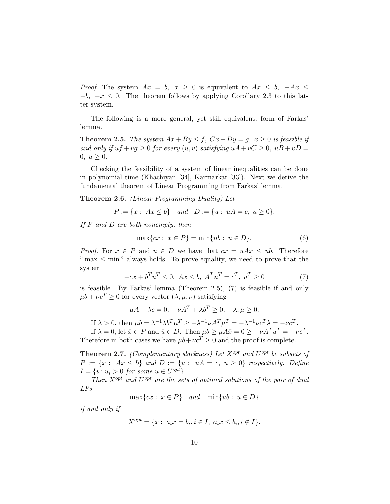*Proof.* The system  $Ax = b$ ,  $x \ge 0$  is equivalent to  $Ax \le b$ ,  $-Ax \le$  $-b$ ,  $-x \leq 0$ . The theorem follows by applying Corollary 2.3 to this lat- $\Box$ ter system.

The following is a more general, yet still equivalent, form of Farkas' lemma.

**Theorem 2.5.** The system  $Ax + By \leq f$ ,  $Cx + Dy = g$ ,  $x \geq 0$  is feasible if and only if  $uf + vg \ge 0$  for every  $(u, v)$  satisfying  $uA + vC \ge 0$ ,  $uB + vD =$  $0, u \geq 0.$ 

Checking the feasibility of a system of linear inequalities can be done in polynomial time (Khachiyan [34], Karmarkar [33]). Next we derive the fundamental theorem of Linear Programming from Farkas' lemma.

Theorem 2.6. (Linear Programming Duality) Let

$$
P := \{x : Ax \le b\} \quad and \quad D := \{u : uA = c, u \ge 0\}.
$$

If  $P$  and  $D$  are both nonempty, then

$$
\max\{cx : x \in P\} = \min\{ub : u \in D\}.\tag{6}
$$

*Proof.* For  $\bar{x} \in P$  and  $\bar{u} \in D$  we have that  $c\bar{x} = \bar{u}A\bar{x} \leq \bar{u}b$ . Therefore  $"$  max  $\leq$  min" always holds. To prove equality, we need to prove that the system

$$
-cx + b^{T}u^{T} \leq 0, Ax \leq b, A^{T}u^{T} = c^{T}, u^{T} \geq 0
$$
\n(7)

is feasible. By Farkas' lemma (Theorem 2.5), (7) is feasible if and only  $\mu b + \nu c^T \geq 0$  for every vector  $(\lambda, \mu, \nu)$  satisfying

$$
\mu A - \lambda c = 0, \quad \nu A^T + \lambda b^T \ge 0, \quad \lambda, \mu \ge 0.
$$

If  $\lambda > 0$ , then  $\mu b = \lambda^{-1} \lambda b^T \mu^T \ge -\lambda^{-1} \nu A^T \mu^T = -\lambda^{-1} \nu c^T \lambda = -\nu c^T$ .

If  $\lambda = 0$ , let  $\bar{x} \in P$  and  $\bar{u} \in D$ . Then  $\mu b \geq \mu A \bar{x} = 0 \geq -\nu A^T u^T = -\nu c^T$ . Therefore in both cases we have  $\mu b + \nu c^T \geq 0$  and the proof is complete.  $\Box$ 

**Theorem 2.7.** (Complementary slackness) Let  $X^{opt}$  and  $U^{opt}$  be subsets of  $P := \{x : Ax \leq b\}$  and  $D := \{u : uA = c, u \geq 0\}$  respectively. Define  $I = \{i : u_i > 0 \text{ for some } u \in U^{opt}\}.$ 

Then  $X^{opt}$  and  $U^{opt}$  are the sets of optimal solutions of the pair of dual LPs

$$
\max\{cx : x \in P\} \quad and \quad \min\{ub : u \in D\}
$$

if and only if

$$
X^{opt} = \{x : a_i x = b_i, i \in I, a_i x \le b_i, i \notin I\}.
$$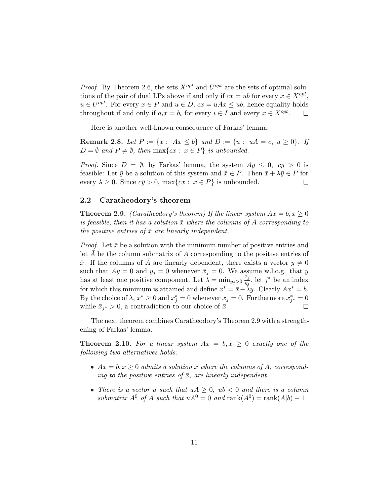*Proof.* By Theorem 2.6, the sets  $X^{opt}$  and  $U^{opt}$  are the sets of optimal solutions of the pair of dual LPs above if and only if  $cx = ub$  for every  $x \in X^{opt}$ ,  $u \in U^{opt}$ . For every  $x \in P$  and  $u \in D$ ,  $cx = uAx \leq ub$ , hence equality holds throughout if and only if  $a_i x = b_i$  for every  $i \in I$  and every  $x \in X^{opt}$ .  $\Box$ 

Here is another well-known consequence of Farkas' lemma:

**Remark 2.8.** Let  $P := \{x : Ax \leq b\}$  and  $D := \{u : uA = c, u \geq 0\}$ . If  $D = \emptyset$  and  $P \neq \emptyset$ , then max $\{cx : x \in P\}$  is unbounded.

*Proof.* Since  $D = \emptyset$ , by Farkas' lemma, the system  $Ay \leq 0$ ,  $cy > 0$  is feasible: Let  $\bar{y}$  be a solution of this system and  $\bar{x} \in P$ . Then  $\bar{x} + \lambda \bar{y} \in P$  for every  $\lambda \geq 0$ . Since  $c\bar{y} > 0$ , max{cx :  $x \in P$ } is unbounded. П

#### 2.2 Caratheodory's theorem

**Theorem 2.9.** (Caratheodory's theorem) If the linear system  $Ax = b, x \ge 0$ is feasible, then it has a solution  $\bar{x}$  where the columns of A corresponding to the positive entries of  $\bar{x}$  are linearly independent.

*Proof.* Let  $\bar{x}$  be a solution with the minimum number of positive entries and let  $A$  be the column submatrix of  $A$  corresponding to the positive entries of  $\bar{x}$ . If the columns of A are linearly dependent, there exists a vector  $y \neq 0$ such that  $Ay = 0$  and  $y_j = 0$  whenever  $\bar{x}_j = 0$ . We assume w.l.o.g. that y has at least one positive component. Let  $\lambda = \min_{y_j > 0} \frac{\bar{x}_j}{y_j}$  $\frac{\bar{x}_j}{y_j}$ , let  $j^*$  be an index for which this minimum is attained and define  $x^* = \bar{x} - \lambda y$ . Clearly  $Ax^* = b$ . By the choice of  $\lambda, x^* \geq 0$  and  $x_j^* = 0$  whenever  $\bar{x}_j = 0$ . Furthermore  $x_{j^*}^* = 0$ while  $\bar{x}_{j^*} > 0$ , a contradiction to our choice of  $\bar{x}$ .  $\Box$ 

The next theorem combines Caratheodory's Theorem 2.9 with a strengthening of Farkas' lemma.

**Theorem 2.10.** For a linear system  $Ax = b, x \ge 0$  exactly one of the following two alternatives holds:

- $Ax = b, x \geq 0$  admits a solution  $\bar{x}$  where the columns of A, corresponding to the positive entries of  $\bar{x}$ , are linearly independent.
- There is a vector u such that  $uA \geq 0$ ,  $ub < 0$  and there is a column submatrix  $A^0$  of A such that  $uA^0 = 0$  and  $\text{rank}(A^0) = \text{rank}(A|b) - 1$ .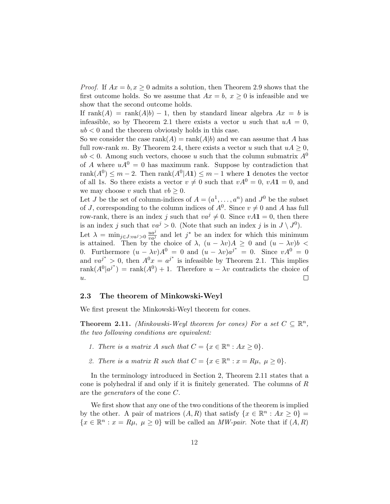*Proof.* If  $Ax = b, x \ge 0$  admits a solution, then Theorem 2.9 shows that the first outcome holds. So we assume that  $Ax = b$ ,  $x \ge 0$  is infeasible and we show that the second outcome holds.

If rank $(A)$  = rank $(A|b)$  – 1, then by standard linear algebra  $Ax = b$  is infeasible, so by Theorem 2.1 there exists a vector u such that  $uA = 0$ ,  $ub < 0$  and the theorem obviously holds in this case.

So we consider the case  $\text{rank}(A) = \text{rank}(A|b)$  and we can assume that A has full row-rank m. By Theorem 2.4, there exists a vector u such that  $uA \geq 0$ ,  $ub < 0$ . Among such vectors, choose u such that the column submatrix  $A^0$ of A where  $uA^0 = 0$  has maximum rank. Suppose by contradiction that  $rank(A^0) \leq m-2$ . Then  $rank(A^0|A1) \leq m-1$  where 1 denotes the vector of all 1s. So there exists a vector  $v \neq 0$  such that  $vA^0=0$ ,  $vA\mathbf{1}=0$ , and we may choose v such that  $vb \geq 0$ .

Let J be the set of column-indices of  $A = (a^1, \ldots, a^n)$  and  $J^0$  be the subset of J, corresponding to the column indices of  $A^0$ . Since  $v \neq 0$  and A has full row-rank, there is an index j such that  $va^j \neq 0$ . Since  $vA1 = 0$ , then there is an index j such that  $va^j > 0$ . (Note that such an index j is in  $J \setminus J^0$ ).

Let  $\lambda = \min_{j \in J : va^j > 0} \frac{ua^j}{va^j}$  and let  $j^*$  be an index for which this minimum is attained. Then by the choice of  $\lambda$ ,  $(u - \lambda v)A \geq 0$  and  $(u - \lambda v)b$ 0. Furthermore  $(u - \lambda v)A^0 = 0$  and  $(u - \lambda v)a^{j^*} = 0$ . Since  $vA^0 = 0$ and  $va^{j*} > 0$ , then  $A^{0}x = a^{j*}$  is infeasible by Theorem 2.1. This implies  $rank(A^0|a^{j^*}) = rank(A^0) + 1.$  Therefore  $u - \lambda v$  contradicts the choice of  $\overline{u}$ .  $\Box$ 

#### 2.3 The theorem of Minkowski-Weyl

We first present the Minkowski-Weyl theorem for cones.

**Theorem 2.11.** (Minkowski-Weyl theorem for cones) For a set  $C \subseteq \mathbb{R}^n$ , the two following conditions are equivalent:

- 1. There is a matrix A such that  $C = \{x \in \mathbb{R}^n : Ax \geq 0\}.$
- 2. There is a matrix R such that  $C = \{x \in \mathbb{R}^n : x = R\mu, \ \mu \geq 0\}.$

In the terminology introduced in Section 2, Theorem 2.11 states that a cone is polyhedral if and only if it is finitely generated. The columns of  $R$ are the generators of the cone C.

We first show that any one of the two conditions of the theorem is implied by the other. A pair of matrices  $(A, R)$  that satisfy  $\{x \in \mathbb{R}^n : Ax \geq 0\}$  ${x \in \mathbb{R}^n : x = R\mu, \mu \geq 0}$  will be called an *MW-pair*. Note that if  $(A, R)$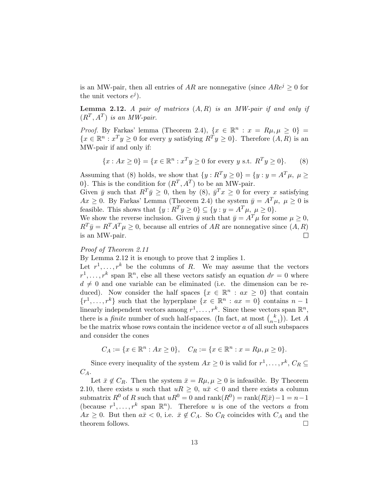is an MW-pair, then all entries of AR are nonnegative (since  $A Re^{j} \geq 0$  for the unit vectors  $e^j$ ).

**Lemma 2.12.** A pair of matrices  $(A, R)$  is an MW-pair if and only if  $(R^T, A^T)$  is an MW-pair.

*Proof.* By Farkas' lemma (Theorem 2.4),  $\{x \in \mathbb{R}^n : x = R\mu, \mu \geq 0\}$  $\{x \in \mathbb{R}^n : x^T y \geq 0 \text{ for every } y \text{ satisfying } R^T y \geq 0 \}.$  Therefore  $(A, R)$  is an MW-pair if and only if:

$$
\{x : Ax \ge 0\} = \{x \in \mathbb{R}^n : x^T y \ge 0 \text{ for every } y \text{ s.t. } R^T y \ge 0\}.
$$
 (8)

Assuming that (8) holds, we show that  $\{y: R^T y \geq 0\} = \{y: y = A^T \mu, \mu \geq 0\}$ 0. This is the condition for  $(R^T, A^T)$  to be an MW-pair.

Given  $\bar{y}$  such that  $R^T \bar{y} \geq 0$ , then by (8),  $\bar{y}^T x \geq 0$  for every x satisfying  $Ax \geq 0$ . By Farkas' Lemma (Theorem 2.4) the system  $\bar{y} = A^T \mu$ ,  $\mu \geq 0$  is feasible. This shows that  $\{y: R^T y \ge 0\} \subseteq \{y: y = A^T \mu, \ \mu \ge 0\}.$ 

We show the reverse inclusion. Given  $\bar{y}$  such that  $\bar{y} = A^T \mu$  for some  $\mu \ge 0$ ,  $R^T \bar{y} = R^T A^T \mu \geq 0$ , because all entries of AR are nonnegative since  $(A, R)$ is an MW-pair.  $\Box$ 

#### Proof of Theorem 2.11

By Lemma 2.12 it is enough to prove that 2 implies 1.

Let  $r^1, \ldots, r^k$  be the columns of R. We may assume that the vectors  $r^1, \ldots, r^k$  span  $\mathbb{R}^n$ , else all these vectors satisfy an equation  $dr = 0$  where  $d \neq 0$  and one variable can be eliminated (i.e. the dimension can be reduced). Now consider the half spaces  $\{x \in \mathbb{R}^n : ax \geq 0\}$  that contain  $\{r^1,\ldots,r^k\}$  such that the hyperplane  $\{x \in \mathbb{R}^n : ax = 0\}$  contains  $n-1$ linearly independent vectors among  $r^1, \ldots, r^k$ . Since these vectors span  $\mathbb{R}^n$ , there is a *finite* number of such half-spaces. (In fact, at most  $\binom{k}{n}$  $_{n-1}^{\kappa}$ )). Let A be the matrix whose rows contain the incidence vector  $a$  of all such subspaces and consider the cones

$$
C_A := \{ x \in \mathbb{R}^n : Ax \ge 0 \}, \quad C_R := \{ x \in \mathbb{R}^n : x = R\mu, \mu \ge 0 \}.
$$

Since every inequality of the system  $Ax \geq 0$  is valid for  $r^1, \ldots, r^k, C_R \subseteq$  $C_A$ .

Let  $\bar{x} \notin C_R$ . Then the system  $\bar{x} = R\mu, \mu \geq 0$  is infeasible. By Theorem 2.10, there exists u such that  $uR \geq 0$ ,  $u\bar{x} < 0$  and there exists a column submatrix  $R^0$  of R such that  $uR^0 = 0$  and  $\text{rank}(R^0) = \text{rank}(R|\bar{x}) - 1 = n - 1$ (because  $r^1, \ldots, r^k$  span  $\mathbb{R}^n$ ). Therefore u is one of the vectors a from  $Ax \geq 0$ . But then  $a\bar{x} < 0$ , i.e.  $\bar{x} \notin C_A$ . So  $C_R$  coincides with  $C_A$  and the theorem follows.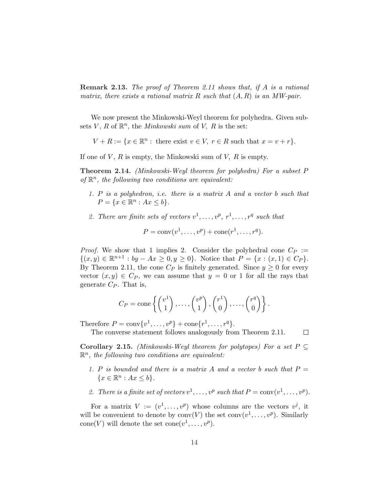Remark 2.13. The proof of Theorem 2.11 shows that, if A is a rational matrix, there exists a rational matrix R such that  $(A, R)$  is an MW-pair.

We now present the Minkowski-Weyl theorem for polyhedra. Given subsets  $V, R$  of  $\mathbb{R}^n$ , the *Minkowski sum* of  $V, R$  is the set:

 $V + R := \{x \in \mathbb{R}^n : \text{ there exist } v \in V, r \in R \text{ such that } x = v + r\}.$ 

If one of  $V$ ,  $R$  is empty, the Minkowski sum of  $V$ ,  $R$  is empty.

Theorem 2.14. (Minkowski-Weyl theorem for polyhedra) For a subset P of  $\mathbb{R}^n$ , the following two conditions are equivalent:

- 1. P is a polyhedron, i.e. there is a matrix A and a vector b such that  $P = \{x \in \mathbb{R}^n : Ax \leq b\}.$
- 2. There are finite sets of vectors  $v^1, \ldots, v^p, r^1, \ldots, r^q$  such that

$$
P = \text{conv}(v^1, \dots, v^p) + \text{cone}(r^1, \dots, r^q).
$$

*Proof.* We show that 1 implies 2. Consider the polyhedral cone  $C_P :=$  $\{(x, y) \in \mathbb{R}^{n+1} : by - Ax \geq 0, y \geq 0\}.$  Notice that  $P = \{x : (x, 1) \in C_P\}.$ By Theorem 2.11, the cone  $C_P$  is finitely generated. Since  $y \geq 0$  for every vector  $(x, y) \in C_P$ , we can assume that  $y = 0$  or 1 for all the rays that generate  $C_P$ . That is,

$$
C_P = \text{cone}\left\{ \begin{pmatrix} v^1 \\ 1 \end{pmatrix}, \dots, \begin{pmatrix} v^p \\ 1 \end{pmatrix}, \begin{pmatrix} r^1 \\ 0 \end{pmatrix}, \dots, \begin{pmatrix} r^q \\ 0 \end{pmatrix} \right\}.
$$

Therefore  $P = \text{conv}\{v^1, \dots, v^p\} + \text{cone}\{r^1, \dots, r^q\}.$ 

The converse statement follows analogously from Theorem 2.11.  $\Box$ 

Corollary 2.15. (Minkowski-Weyl theorem for polytopes) For a set  $P \subseteq$  $\mathbb{R}^n$ , the following two conditions are equivalent:

- 1. P is bounded and there is a matrix A and a vector b such that  $P =$  $\{x \in \mathbb{R}^n : Ax \leq b\}.$
- 2. There is a finite set of vectors  $v^1, \ldots, v^p$  such that  $P = \text{conv}(v^1, \ldots, v^p)$ .

For a matrix  $V := (v^1, \ldots, v^p)$  whose columns are the vectors  $v^j$ , it will be convenient to denote by  $conv(V)$  the set  $conv(v^1, \ldots, v^p)$ . Similarly cone(V) will denote the set  $cone(v^1, \ldots, v^p)$ .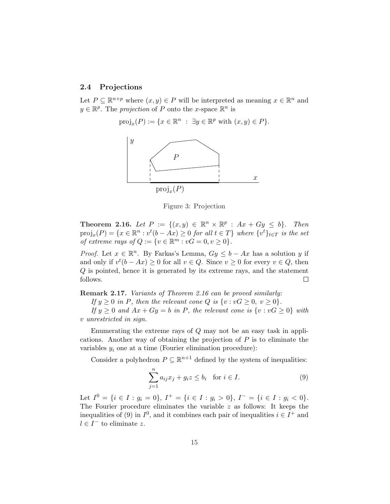#### 2.4 Projections

Let  $P \subseteq \mathbb{R}^{n+p}$  where  $(x, y) \in P$  will be interpreted as meaning  $x \in \mathbb{R}^n$  and  $y \in \mathbb{R}^p$ . The projection of P onto the x-space  $\mathbb{R}^n$  is

$$
\text{proj}_x(P) := \{ x \in \mathbb{R}^n \; : \; \exists y \in \mathbb{R}^p \text{ with } (x, y) \in P \}.
$$



Figure 3: Projection

**Theorem 2.16.** Let  $P := \{(x, y) \in \mathbb{R}^n \times \mathbb{R}^p : Ax + Gy \leq b\}$ . Then  $proj_x(P) = \{x \in \mathbb{R}^n : v^t(b - Ax) \geq 0 \text{ for all } t \in T\}$  where  $\{v^t\}_{t \in T}$  is the set of extreme rays of  $Q := \{v \in \mathbb{R}^m : vG = 0, v \ge 0\}.$ 

*Proof.* Let  $x \in \mathbb{R}^n$ . By Farkas's Lemma,  $Gy \leq b - Ax$  has a solution y if and only if  $v^t(b - Ax) \ge 0$  for all  $v \in Q$ . Since  $v \ge 0$  for every  $v \in Q$ , then Q is pointed, hence it is generated by its extreme rays, and the statement follows.  $\Box$ 

Remark 2.17. Variants of Theorem 2.16 can be proved similarly:

If  $y \ge 0$  in P, then the relevant cone Q is  $\{v : vG \ge 0, v \ge 0\}.$ 

If  $y \geq 0$  and  $Ax + Gy = b$  in P, the relevant cone is  $\{v : vG \geq 0\}$  with v unrestricted in sign.

Enumerating the extreme rays of Q may not be an easy task in applications. Another way of obtaining the projection of  $P$  is to eliminate the variables  $y_i$  one at a time (Fourier elimination procedure):

Consider a polyhedron  $P \subseteq \mathbb{R}^{n+1}$  defined by the system of inequalities:

$$
\sum_{j=1}^{n} a_{ij} x_j + g_i z \le b_i \quad \text{for } i \in I.
$$
 (9)

Let  $I^0 = \{i \in I : g_i = 0\}, I^+ = \{i \in I : g_i > 0\}, I^- = \{i \in I : g_i < 0\}.$ The Fourier procedure eliminates the variable  $z$  as follows: It keeps the inequalities of (9) in  $I^0$ , and it combines each pair of inequalities  $i \in I^+$  and  $l \in I^-$  to eliminate z.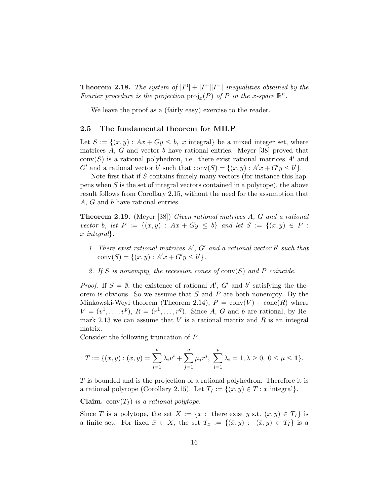**Theorem 2.18.** The system of  $|I^0| + |I^+||I^-|$  inequalities obtained by the Fourier procedure is the projection  $\text{proj}_x(P)$  of P in the x-space  $\mathbb{R}^n$ .

We leave the proof as a (fairly easy) exercise to the reader.

#### 2.5 The fundamental theorem for MILP

Let  $S := \{(x, y) : Ax + Gy \leq b, x \text{ integral}\}\$ be a mixed integer set, where matrices A, G and vector b have rational entries. Meyer [38] proved that  $conv(S)$  is a rational polyhedron, i.e. there exist rational matrices A' and  $G'$  and a rational vector b' such that  $conv(S) = \{(x, y) : A'x + G'y \leq b'\}.$ 

Note first that if S contains finitely many vectors (for instance this happens when S is the set of integral vectors contained in a polytope), the above result follows from Corollary 2.15, without the need for the assumption that A, G and b have rational entries.

Theorem 2.19. (Meyer [38]) Given rational matrices A, G and a rational vector b, let  $P := \{(x, y) : Ax + Gy \leq b\}$  and let  $S := \{(x, y) \in P :$ x integral}.

- 1. There exist rational matrices  $A'$ ,  $G'$  and a rational vector  $b'$  such that conv $(S) = \{(x, y) : A'x + G'y \leq b'\}.$
- 2. If S is nonempty, the recession cones of  $conv(S)$  and P coincide.

*Proof.* If  $S = \emptyset$ , the existence of rational A', G' and b' satisfying the theorem is obvious. So we assume that  $S$  and  $P$  are both nonempty. By the Minkowski-Weyl theorem (Theorem 2.14),  $P = \text{conv}(V) + \text{cone}(R)$  where  $V = (v^1, \ldots, v^p), R = (r^1, \ldots, r^q).$  Since A, G and b are rational, by Remark 2.13 we can assume that  $V$  is a rational matrix and  $R$  is an integral matrix.

Consider the following truncation of P

$$
T := \{(x, y) : (x, y) = \sum_{i=1}^{p} \lambda_i v^i + \sum_{j=1}^{q} \mu_j r^j, \ \sum_{i=1}^{p} \lambda_i = 1, \lambda \ge 0, \ 0 \le \mu \le 1\}.
$$

T is bounded and is the projection of a rational polyhedron. Therefore it is a rational polytope (Corollary 2.15). Let  $T_I := \{(x, y) \in T : x \text{ integral}\}.$ 

**Claim.** conv $(T_I)$  is a rational polytope.

Since T is a polytope, the set  $X := \{x : \text{ there exist } y \text{ s.t. } (x, y) \in T_I \}$  is a finite set. For fixed  $\bar{x} \in X$ , the set  $T_{\bar{x}} := \{(\bar{x}, y) : (\bar{x}, y) \in T_I\}$  is a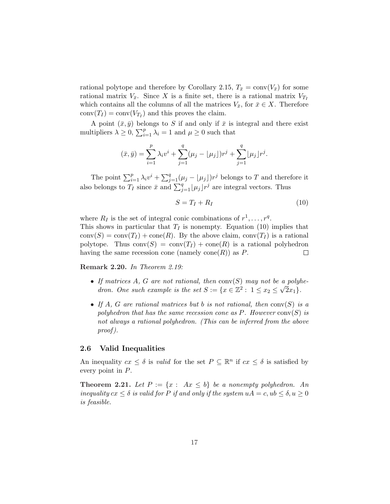rational polytope and therefore by Corollary 2.15,  $T_{\bar{x}} = \text{conv}(V_{\bar{x}})$  for some rational matrix  $V_{\bar{x}}$ . Since X is a finite set, there is a rational matrix  $V_{T_I}$ which contains all the columns of all the matrices  $V_{\bar{x}}$ , for  $\bar{x} \in X$ . Therefore  $conv(T_I) = conv(V_{T_I})$  and this proves the claim.

A point  $(\bar{x}, \bar{y})$  belongs to S if and only if  $\bar{x}$  is integral and there exist A point  $(x, y)$  belongs to 3 if and only if x is<br>multipliers  $\lambda \geq 0$ ,  $\sum_{i=1}^{p} \lambda_i = 1$  and  $\mu \geq 0$  such that

$$
(\bar{x}, \bar{y}) = \sum_{i=1}^{p} \lambda_i v^i + \sum_{j=1}^{q} (\mu_j - \lfloor \mu_j \rfloor) r^j + \sum_{j=1}^{q} \lfloor \mu_j \rfloor r^j.
$$

The point  $\sum_{i=1}^p \lambda_i v^i + \sum_j^q$  $_{j=1}^{q}(\mu_j - \lfloor \mu_j \rfloor)r^j$  belongs to T and therefore it also belongs to  $T_I$  since  $\bar{x}$  and  $\sum_{j=1}^{q} \lfloor \mu_j \rfloor r^j$  are integral vectors. Thus

$$
S = T_I + R_I \tag{10}
$$

where  $R_I$  is the set of integral conic combinations of  $r^1, \ldots, r^q$ . This shows in particular that  $T_I$  is nonempty. Equation (10) implies that  $conv(S) = conv(T_I) + cone(R)$ . By the above claim,  $conv(T_I)$  is a rational polytope. Thus  $conv(S) = conv(T_I) + cone(R)$  is a rational polyhedron having the same recession cone (namely cone $(R)$ ) as P.  $\Box$ 

Remark 2.20. In Theorem 2.19:

- If matrices A, G are not rational, then  $conv(S)$  may not be a polyhedron. One such example is the set  $S := \{x \in \mathbb{Z}^2 : 1 \le x_2 \le \sqrt{2}x_1\}.$
- If A, G are rational matrices but b is not rational, then  $conv(S)$  is a polyhedron that has the same recession cone as P. However  $conv(S)$  is not always a rational polyhedron. (This can be inferred from the above proof ).

#### 2.6 Valid Inequalities

An inequality  $cx \leq \delta$  is valid for the set  $P \subseteq \mathbb{R}^n$  if  $cx \leq \delta$  is satisfied by every point in P.

**Theorem 2.21.** Let  $P := \{x : Ax \leq b\}$  be a nonempty polyhedron. An inequality  $cx \leq \delta$  is valid for P if and only if the system  $uA = c$ ,  $ub \leq \delta$ ,  $u \geq 0$ is feasible.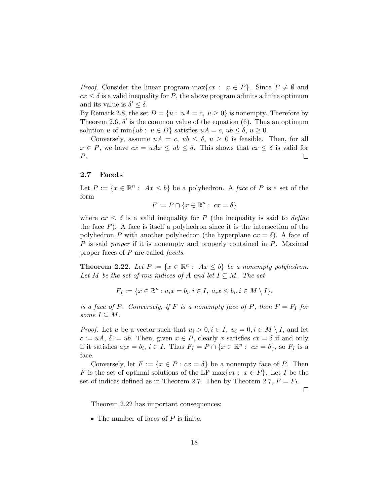*Proof.* Consider the linear program  $\max\{cx : x \in P\}$ . Since  $P \neq \emptyset$  and  $cx \leq \delta$  is a valid inequality for P, the above program admits a finite optimum and its value is  $\delta' \leq \delta$ .

By Remark 2.8, the set  $D = \{u : uA = c, u \ge 0\}$  is nonempty. Therefore by Theorem 2.6,  $\delta'$  is the common value of the equation (6). Thus an optimum solution u of min $\{ub : u \in D\}$  satisfies  $uA = c$ ,  $ub \le \delta$ ,  $u \ge 0$ .

Conversely, assume  $uA = c$ ,  $ub \leq \delta$ ,  $u \geq 0$  is feasible. Then, for all  $x \in P$ , we have  $cx = uAx \leq ub \leq \delta$ . This shows that  $cx \leq \delta$  is valid for P.  $\Box$ 

### 2.7 Facets

Let  $P := \{x \in \mathbb{R}^n : Ax \leq b\}$  be a polyhedron. A face of P is a set of the form

$$
F := P \cap \{x \in \mathbb{R}^n : cx = \delta\}
$$

where  $cx \leq \delta$  is a valid inequality for P (the inequality is said to *define* the face  $F$ ). A face is itself a polyhedron since it is the intersection of the polyhedron P with another polyhedron (the hyperplane  $cx = \delta$ ). A face of P is said *proper* if it is nonempty and properly contained in P. Maximal proper faces of  $P$  are called *facets*.

**Theorem 2.22.** Let  $P := \{x \in \mathbb{R}^n : Ax \leq b\}$  be a nonempty polyhedron. Let M be the set of row indices of A and let  $I \subseteq M$ . The set

$$
F_I := \{ x \in \mathbb{R}^n : a_i x = b_i, i \in I, \ a_i x \le b_i, i \in M \setminus I \}.
$$

is a face of P. Conversely, if F is a nonempty face of P, then  $F = F_I$  for some  $I \subseteq M$ .

*Proof.* Let u be a vector such that  $u_i > 0, i \in I$ ,  $u_i = 0, i \in M \setminus I$ , and let  $c := uA, \delta := ub$ . Then, given  $x \in P$ , clearly x satisfies  $cx = \delta$  if and only if it satisfies  $a_i x = b_i$ ,  $i \in I$ . Thus  $F_I = P \cap \{x \in \mathbb{R}^n : cx = \delta\}$ , so  $F_I$  is a face.

Conversely, let  $F := \{x \in P : cx = \delta\}$  be a nonempty face of P. Then F is the set of optimal solutions of the LP max $\{cx : x \in P\}$ . Let I be the set of indices defined as in Theorem 2.7. Then by Theorem 2.7,  $F = F_I$ .

 $\Box$ 

Theorem 2.22 has important consequences:

• The number of faces of  $P$  is finite.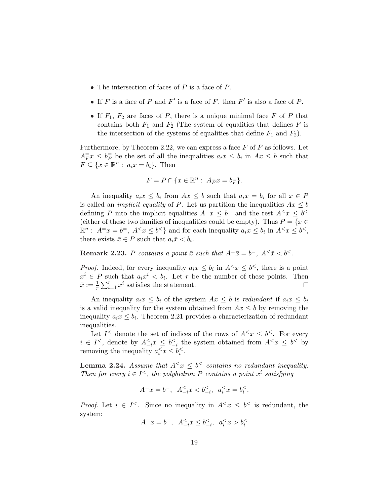- The intersection of faces of  $P$  is a face of  $P$ .
- If F is a face of P and F' is a face of F, then  $F'$  is also a face of P.
- If  $F_1$ ,  $F_2$  are faces of P, there is a unique minimal face F of P that contains both  $F_1$  and  $F_2$  (The system of equalities that defines F is the intersection of the systems of equalities that define  $F_1$  and  $F_2$ ).

Furthermore, by Theorem 2.22, we can express a face  $F$  of  $P$  as follows. Let  $A_F^{\pm} x \leq b_F^{\pm}$  be the set of all the inequalities  $a_i x \leq b_i$  in  $Ax \leq b$  such that  $F \subseteq \{x \in \mathbb{R}^n : a_i x = b_i\}.$  Then

$$
F = P \cap \{x \in \mathbb{R}^n : A_F^= x = b_F^= \}.
$$

An inequality  $a_i x \leq b_i$  from  $Ax \leq b$  such that  $a_i x = b_i$  for all  $x \in P$ is called an *implicit equality* of P. Let us partition the inequalities  $Ax \leq b$ defining P into the implicit equalities  $A^{\pm}x \leq b^{\pm}$  and the rest  $A^{\leq}x \leq b^{\leq}$ (either of these two families of inequalities could be empty). Thus  $P = \{x \in$  $\mathbb{R}^n$ :  $A^=x=b^=$ ,  $A^< x \leq b^<$  and for each inequality  $a_ix \leq b_i$  in  $A^< x \leq b^<$ , there exists  $\bar{x} \in P$  such that  $a_i \bar{x} < b_i$ .

**Remark 2.23.** P contains a point  $\bar{x}$  such that  $A^{\pm} \bar{x} = b^{\pm}$ ,  $A^{\leq} \bar{x} < b^{\leq}$ .

*Proof.* Indeed, for every inequality  $a_i x \leq b_i$  in  $A^{\leq} x \leq b^{\leq}$ , there is a point  $x^i \in P$  such that  $a_i x^i < b_i$ . Let r be the number of these points. Then  $\sum_{r=1}^{\infty}$  $\bar{x} := \frac{1}{r}$  $x_{i=1}^r x^i$  satisfies the statement.  $\Box$ 

An inequality  $a_i x \leq b_i$  of the system  $Ax \leq b$  is redundant if  $a_i x \leq b_i$ is a valid inequality for the system obtained from  $Ax \leq b$  by removing the inequality  $a_i x \leq b_i$ . Theorem 2.21 provides a characterization of redundant inequalities.

Let  $I^{\leq}$  denote the set of indices of the rows of  $A^{\leq} x \leq b^{\leq}$ . For every  $i \in I^{\le}$ , denote by  $A_{-i}^{\le} x \le b_{-i}^{\le}$  the system obtained from  $A^{\le} x \le b^{\le}$  by removing the inequality  $a_i^{\lt} x \leq b_i^{\lt}$ .

**Lemma 2.24.** Assume that  $A^{\leq} x \leq b^{\leq}$  contains no redundant inequality. Then for every  $i \in I^{\leq}$ , the polyhedron P contains a point  $x^i$  satisfying

$$
A^=x=b^=,\ \ A_{-i}^{\lt}\!x
$$

*Proof.* Let  $i \in I^{\le}$ . Since no inequality in  $A^{\le}x \le b^{\le}$  is redundant, the system:

$$
A^=x = b^= , \ \ A_{-i}^{\leq} x \leq b_{-i}^{\leq} , \ \ a_i^{\leq} x > b_i^{\leq}
$$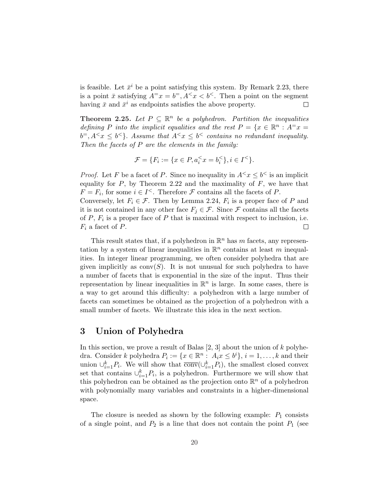is feasible. Let  $\bar{x}^i$  be a point satisfying this system. By Remark 2.23, there is a point  $\bar{x}$  satisfying  $A^{\pm}x = b^{\pm}, A^{\leq}x < b^{\leq}$ . Then a point on the segment having  $\bar{x}$  and  $\bar{x}^i$  as endpoints satisfies the above property.  $\Box$ 

**Theorem 2.25.** Let  $P \subseteq \mathbb{R}^n$  be a polyhedron. Partition the inequalities defining P into the implicit equalities and the rest  $P = \{x \in \mathbb{R}^n : A^{\pm}x =$  $b^=$ ,  $A^< x \leq b^<$  Assume that  $A^< x \leq b^<$  contains no redundant inequality. Then the facets of  $P$  are the elements in the family:

$$
\mathcal{F} = \{ F_i := \{ x \in P, a_i^{\leq} x = b_i^{\leq} \}, i \in I^{\leq} \}.
$$

*Proof.* Let F be a facet of P. Since no inequality in  $A^{\lt} x \leq b^{\lt}$  is an implicit equality for  $P$ , by Theorem 2.22 and the maximality of  $F$ , we have that  $F = F_i$ , for some  $i \in I^{\le}$ . Therefore  $\mathcal F$  contains all the facets of P. Conversely, let  $F_i \in \mathcal{F}$ . Then by Lemma 2.24,  $F_i$  is a proper face of P and it is not contained in any other face  $F_j \in \mathcal{F}$ . Since  $\mathcal F$  contains all the facets of  $P$ ,  $F_i$  is a proper face of  $P$  that is maximal with respect to inclusion, i.e.  $F_i$  a facet of  $P$ .  $\Box$ 

This result states that, if a polyhedron in  $\mathbb{R}^n$  has m facets, any representation by a system of linear inequalities in  $\mathbb{R}^n$  contains at least m inequalities. In integer linear programming, we often consider polyhedra that are given implicitly as  $conv(S)$ . It is not unusual for such polyhedra to have a number of facets that is exponential in the size of the input. Thus their representation by linear inequalities in  $\mathbb{R}^n$  is large. In some cases, there is a way to get around this difficulty: a polyhedron with a large number of facets can sometimes be obtained as the projection of a polyhedron with a small number of facets. We illustrate this idea in the next section.

## 3 Union of Polyhedra

In this section, we prove a result of Balas  $[2, 3]$  about the union of k polyhedra. Consider k polyhedra  $P_i := \{x \in \mathbb{R}^n : A_i x \leq b^i\}, i = 1, ..., k$  and their union  $\cup_{i=1}^k P_i$ . We will show that  $\overline{\text{conv}}(\cup_{i=1}^k P_i)$ , the smallest closed convex set that contains  $\cup_{i=1}^k P_i$ , is a polyhedron. Furthermore we will show that this polyhedron can be obtained as the projection onto  $\mathbb{R}^n$  of a polyhedron with polynomially many variables and constraints in a higher-dimensional space.

The closure is needed as shown by the following example:  $P_1$  consists of a single point, and  $P_2$  is a line that does not contain the point  $P_1$  (see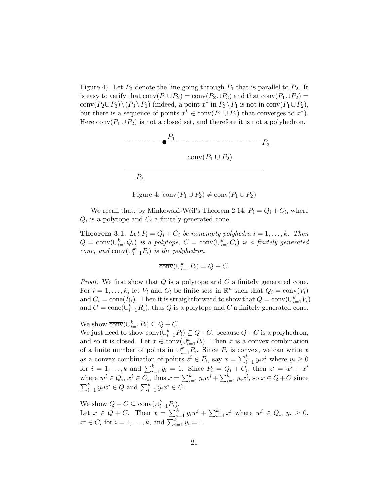Figure 4). Let  $P_3$  denote the line going through  $P_1$  that is parallel to  $P_2$ . It is easy to verify that  $\overline{conv}(P_1 \cup P_2) = conv(P_2 \cup P_3)$  and that  $conv(P_1 \cup P_2) =$ conv $(P_2 \cup P_3) \setminus (P_3 \setminus P_1)$  (indeed, a point  $x^*$  in  $P_3 \setminus P_1$  is not in conv $(P_1 \cup P_2)$ , but there is a sequence of points  $x^k \in \text{conv}(P_1 \cup P_2)$  that converges to  $x^*$ ). Here  $conv(P_1 \cup P_2)$  is not a closed set, and therefore it is not a polyhedron.



Figure 4:  $\overline{\text{conv}}(P_1 \cup P_2) \neq \text{conv}(P_1 \cup P_2)$ 

We recall that, by Minkowski-Weil's Theorem 2.14,  $P_i = Q_i + C_i$ , where  $Q_i$  is a polytope and  $C_i$  a finitely generated cone.

**Theorem 3.1.** Let  $P_i = Q_i + C_i$  be nonempty polyhedra  $i = 1, ..., k$ . Then  $Q = \text{conv}(\cup_{i=1}^k Q_i)$  is a polytope,  $C = \text{conv}(\cup_{i=1}^k C_i)$  is a finitely generated cone, and  $\overline{\text{conv}}(\cup_{i=1}^k P_i)$  is the polyhedron

$$
\overline{\text{conv}}(\cup_{i=1}^k P_i) = Q + C.
$$

*Proof.* We first show that  $Q$  is a polytope and  $C$  a finitely generated cone. For  $i = 1, ..., k$ , let  $V_i$  and  $C_i$  be finite sets in  $\mathbb{R}^n$  such that  $Q_i = \text{conv}(V_i)$ and  $C_i = \text{cone}(R_i)$ . Then it is straightforward to show that  $Q = \text{conv}(\cup_{i=1}^k V_i)$ and  $C = \text{cone}(\cup_{i=1}^{k} R_i)$ , thus Q is a polytope and C a finitely generated cone.

We show  $\overline{\text{conv}}(\cup_{i=1}^k P_i) \subseteq Q + C$ .

We just need to show  $\text{conv}(\cup_{i=1}^k P_i) \subseteq Q+C$ , because  $Q+C$  is a polyhedron, and so it is closed. Let  $x \in \text{conv}(\cup_{i=1}^k P_i)$ . Then x is a convex combination of a finite number of points in  $\bigcup_{i=1}^{k} P_i$ . Since  $P_i$  is convex, we can write x as a convex combination of points  $z^i \in P_i$ , say  $x = \sum_{i=1}^{k} z^i$  $_{i=1}^{k} y_i z^i$  where  $y_i \geq 0$ for  $i = 1, ..., k$  and  $\sum_{i=1}^{k} y_i = 1$ . Since  $P_i = Q_i + C_i$ , then  $z^i = w^i + x^i$ where  $w^i \in Q_i$ ,  $x^i \in C_i$ , thus  $x = \sum_{i=1}^k a_i$  $\sum_{i=1}^{k} y_i w^i + \sum_{i=1}^{k} y_i$ where  $w^i \in Q_i$ ,  $x^i \in C_i$ , thus  $x = \sum_{i=1}^k y_i w^i + \sum_{i=1}^k y_i x^i$ , so  $x \in Q + C$  since  $\sum_{i=1}^k y_i w^i \in Q$  and  $\sum_{i=1}^k y_i x^i \in C$ .

We show  $Q + C \subseteq \overline{\text{conv}}(\cup_{i=1}^k P_i)$ . Let  $x \in Q + C$ . Then  $x = \sum_{i=1}^{k} a_i$ .  $\sum_{i=1}^k y_iw^i + \sum_{i=1}^k y_i$  $_{i=1}^k x^i$  where  $w^i \in Q_i$ ,  $y_i \geq 0$ , Let  $x \in Q_i$   $\vdash$  C. Then  $x = \sum_{i=1}^{i=1} g_i x_i$ <br>  $x^i \in C_i$  for  $i = 1, ..., k$ , and  $\sum_{i=1}^{k} y_i = 1$ .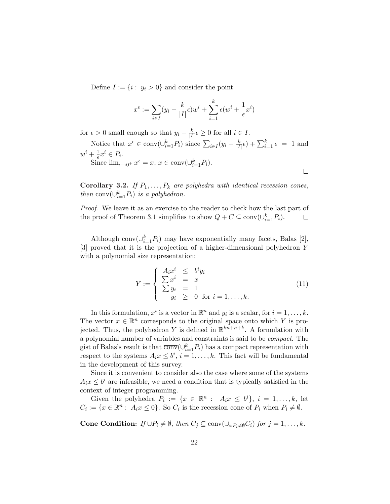Define  $I := \{i : y_i > 0\}$  and consider the point

$$
x^{\epsilon} := \sum_{i \in I} (y_i - \frac{k}{|I|} \epsilon) w^i + \sum_{i=1}^k \epsilon (w^i + \frac{1}{\epsilon} x^i)
$$

for  $\epsilon > 0$  small enough so that  $y_i - \frac{k}{|I|}$  $\frac{k}{|I|} \epsilon \geq 0$  for all  $i \in I$ .

Notice that  $x^{\epsilon} \in \text{conv}(\cup_{i=1}^{k} P_i)$  since  $\sum_{i \in I} (y_i - \frac{k}{|I|})$  $\frac{k}{|I|} \epsilon$  +  $\sum_{i=1}^{k} \epsilon = 1$  and  $w^i + \frac{1}{\epsilon}x^i \in P_i.$  $\overline{\text{Since } \text{lim}_{\epsilon \to 0^+} x^{\epsilon} = x, x \in \overline{\text{conv}}(\cup_{i=1}^k P_i).}$ 

Corollary 3.2. If  $P_1, \ldots, P_k$  are polyhedra with identical recession cones, then  $conv(\cup_{i=1}^{k} P_i)$  is a polyhedron.

Proof. We leave it as an exercise to the reader to check how the last part of the proof of Theorem 3.1 simplifies to show  $Q + C \subseteq \text{conv}(\cup_{i=1}^k P_i)$ .  $\Box$ 

Although  $\overline{\text{conv}}(\cup_{i=1}^k P_i)$  may have exponentially many facets, Balas [2], [3] proved that it is the projection of a higher-dimensional polyhedron Y with a polynomial size representation:

$$
Y := \begin{cases} A_i x^i & \leq b^i y_i \\ \sum x^i = x \\ \sum y_i = 1 \\ y_i & \geq 0 \text{ for } i = 1, \dots, k. \end{cases} \tag{11}
$$

 $\Box$ 

In this formulation,  $x^i$  is a vector in  $\mathbb{R}^n$  and  $y_i$  is a scalar, for  $i = 1, \ldots, k$ . The vector  $x \in \mathbb{R}^n$  corresponds to the original space onto which Y is projected. Thus, the polyhedron Y is defined in  $\mathbb{R}^{kn+n+k}$ . A formulation with a polynomial number of variables and constraints is said to be compact. The gist of Balas's result is that  $\overline{\text{conv}}(\cup_{i=1}^k P_i)$  has a compact representation with respect to the systems  $A_i x \leq b^i$ ,  $i = 1, ..., k$ . This fact will be fundamental in the development of this survey.

Since it is convenient to consider also the case where some of the systems  $A_i x \leq b^i$  are infeasible, we need a condition that is typically satisfied in the context of integer programming.

Given the polyhedra  $P_i := \{x \in \mathbb{R}^n : A_i x \leq b^i\}, i = 1, ..., k$ , let  $C_i := \{x \in \mathbb{R}^n : A_i x \leq 0\}.$  So  $C_i$  is the recession cone of  $P_i$  when  $P_i \neq \emptyset$ .

Cone Condition: If  $\cup P_i \neq \emptyset$ , then  $C_j \subseteq \text{conv}(\cup_{i:P_i\neq\emptyset}C_i)$  for  $j = 1, ..., k$ .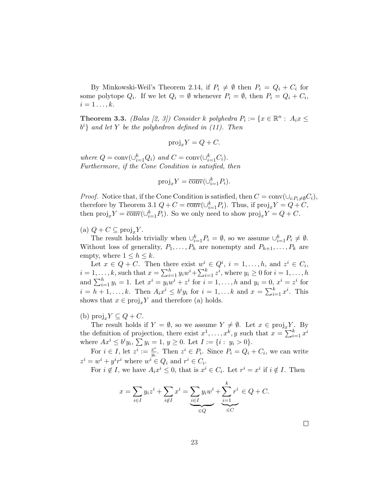By Minkowski-Weil's Theorem 2.14, if  $P_i \neq \emptyset$  then  $P_i = Q_i + C_i$  for some polytope  $Q_i$ . If we let  $Q_i = \emptyset$  whenever  $P_i = \emptyset$ , then  $P_i = Q_i + C_i$ ,  $i=1\ldots,k.$ 

**Theorem 3.3.** (Balas [2, 3]) Consider k polyhedra  $P_i := \{x \in \mathbb{R}^n : A_i x \leq$  $b^i$  and let Y be the polyhedron defined in (11). Then

$$
\text{proj}_x Y = Q + C.
$$

where  $Q = \text{conv}(\cup_{i=1}^{k} Q_i)$  and  $C = \text{conv}(\cup_{i=1}^{k} C_i)$ . Furthermore, if the Cone Condition is satisfied, then

$$
\text{proj}_x Y = \overline{\text{conv}}(\cup_{i=1}^k P_i).
$$

*Proof.* Notice that, if the Cone Condition is satisfied, then  $C = \text{conv}(\cup_{i:P_i \neq \emptyset} C_i)$ , therefore by Theorem 3.1  $Q + C = \overline{\text{conv}}(\cup_{i=1}^{k} P_i)$ . Thus, if  $\text{proj}_x Y = Q + C$ , then  $\text{proj}_x Y = \overline{\text{conv}}(\cup_{i=1}^k P_i)$ . So we only need to show  $\text{proj}_x Y = Q + C$ .

(a)  $Q + C \subseteq \text{proj}_x Y$ .

The result holds trivially when  $\cup_{i=1}^k P_i = \emptyset$ , so we assume  $\cup_{i=1}^k P_i \neq \emptyset$ . Without loss of generality,  $P_1, \ldots, P_h$  are nonempty and  $P_{h+1}, \ldots, P_k$  are empty, where  $1 \leq h \leq k$ .

Let  $x \in Q + C$ . Then there exist  $w^i \in Q^i$ ,  $i = 1, ..., h$ , and  $z^i \in C_i$ , Let  $x \in Q + C$ . Then the<br>  $i = 1, \ldots, k$ , such that  $x = \sum_{i=1}^{h}$ iere exist  $w^i$ <br> $\sum_{i=1}^k y_iw^i + \sum_{i=1}^k y_i$  $i = 1, ..., k$ , such that  $x = \sum_{i=1}^{h} y_i w^i + \sum_{i=1}^{k} z^i$ , where  $y_i \ge 0$  for  $i = 1, ..., h$ <br>and  $\sum_{i=1}^{h} y_i = 1$ . Let  $x^i = y_i w^i + z^i$  for  $i = 1, ..., h$  and  $y_i = 0, x^i = z^i$  for  $i = h + 1$  $i = h+1, \ldots, k$ . Then  $A_i x^i \leq b^i y_i$  for  $i = 1, \ldots k$  and  $x = \sum_{i=1}^k x^i$ . This shows that  $x \in \text{proj}_x Y$  and therefore (a) holds.

(b)  $proj_x Y \subseteq Q + C$ .

The result holds if  $Y = \emptyset$ , so we assume  $Y \neq \emptyset$ . Let  $x \in \text{proj}_x Y$ . By The result holds if  $Y = y$ , so we assume  $Y \neq y$ . Let  $x \in \text{proj}_x Y$ .<br>the definition of projection, there exist  $x^1, \ldots, x^k, y$  such that  $x = \sum_{i=1}^k x_i$ .  $_{i=1}^k x^i$ where  $Ax^i \leq b^i y_i$ ,  $\sum y_i = 1$ ,  $y \geq 0$ . Let  $I := \{i : y_i > 0\}$ .

For  $i \in I$ , let  $z^i := \frac{x^i}{u}$  $\frac{x^i}{y_i}$ . Then  $z^i \in P_i$ . Since  $P_i = Q_i + C_i$ , we can write  $z^i = w^i + y^i r^i$  where  $w^i \in Q_i$  and  $r^i \in C_i$ .

For  $i \notin I$ , we have  $A_i x^i \leq 0$ , that is  $x^i \in C_i$ . Let  $r^i = x^i$  if  $i \notin I$ . Then

$$
x = \sum_{i \in I} y_i z^i + \sum_{i \notin I} x^i = \underbrace{\sum_{i \in I} y_i w^i}_{\in Q} + \underbrace{\sum_{i=1}^k r^i}_{\in C} \in Q + C.
$$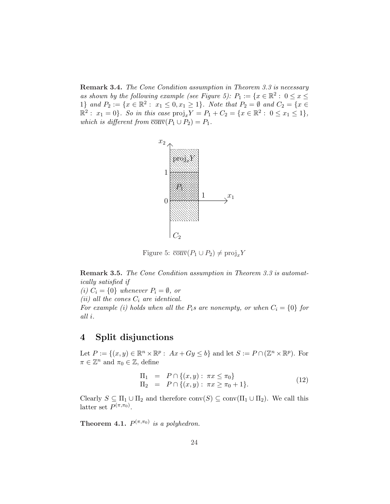Remark 3.4. The Cone Condition assumption in Theorem 3.3 is necessary as shown by the following example (see Figure 5):  $P_1 := \{x \in \mathbb{R}^2 : 0 \le x \le$ 1} and  $P_2 := \{x \in \mathbb{R}^2 : x_1 \leq 0, x_1 \geq 1\}$ . Note that  $P_2 = \emptyset$  and  $C_2 = \{x \in \mathbb{R}^2 : x_1 \leq 0, x_1 \geq 1\}$ .  $\mathbb{R}^2: x_1 = 0$ . So in this case  $\text{proj}_x Y = P_1 + C_2 = \{x \in \mathbb{R}^2: 0 \le x_1 \le 1\},$ which is different from  $\overline{conv}(P_1 \cup P_2) = P_1$ .



Figure 5:  $\overline{\text{conv}}(P_1 \cup P_2) \neq \text{proj}_x Y$ 

Remark 3.5. The Cone Condition assumption in Theorem 3.3 is automatically satisfied if

(i)  $C_i = \{0\}$  whenever  $P_i = \emptyset$ , or (ii) all the cones  $C_i$  are identical. For example (i) holds when all the  $P_i$ s are nonempty, or when  $C_i = \{0\}$  for all i.

# 4 Split disjunctions

Let  $P := \{(x, y) \in \mathbb{R}^n \times \mathbb{R}^p : Ax + Gy \le b\}$  and let  $S := P \cap (\mathbb{Z}^n \times \mathbb{R}^p)$ . For  $\pi \in \mathbb{Z}^n$  and  $\pi_0 \in \mathbb{Z}$ , define

$$
\Pi_1 = P \cap \{(x, y) : \pi x \le \pi_0\} \n\Pi_2 = P \cap \{(x, y) : \pi x \ge \pi_0 + 1\}.
$$
\n(12)

Clearly  $S \subseteq \Pi_1 \cup \Pi_2$  and therefore  $\text{conv}(S) \subseteq \text{conv}(\Pi_1 \cup \Pi_2)$ . We call this latter set  $P^{(\pi,\pi_0)}$ .

**Theorem 4.1.**  $P^{(\pi,\pi_0)}$  is a polyhedron.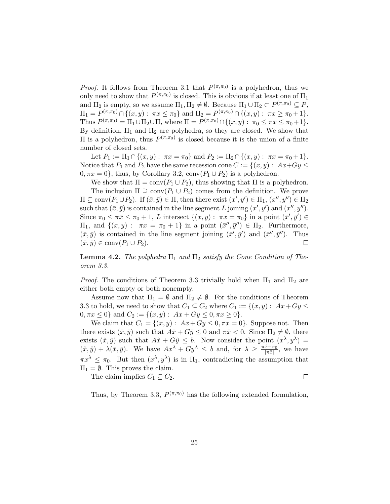*Proof.* It follows from Theorem 3.1 that  $P(\pi,\pi_0)$  is a polyhedron, thus we only need to show that  $P^{(\pi,\pi_0)}$  is closed. This is obvious if at least one of  $\Pi_1$ and  $\Pi_2$  is empty, so we assume  $\Pi_1, \Pi_2 \neq \emptyset$ . Because  $\Pi_1 \cup \Pi_2 \subset P^{(\pi,\pi_0)} \subseteq P$ ,  $\Pi_1 = P^{(\pi,\pi_0)} \cap \{(x,y): \ \pi x \leq \pi_0\} \text{ and } \Pi_2 = P^{(\pi,\pi_0)} \cap \{(x,y): \ \pi x \geq \pi_0 + 1\}.$ Thus  $P^{(\pi,\pi_0)} = \Pi_1 \cup \Pi_2 \cup \Pi$ , where  $\Pi = P^{(\pi,\pi_0)} \cap \{(x,y) : \pi_0 \leq \pi x \leq \pi_0 + 1\}.$ By definition,  $\Pi_1$  and  $\Pi_2$  are polyhedra, so they are closed. We show that II is a polyhedron, thus  $P^{(\pi,\pi_0)}$  is closed because it is the union of a finite number of closed sets.

Let  $P_1 := \Pi_1 \cap \{(x, y) : \pi x = \pi_0\}$  and  $P_2 := \Pi_2 \cap \{(x, y) : \pi x = \pi_0 + 1\}.$ Notice that  $P_1$  and  $P_2$  have the same recession cone  $C := \{(x, y) : Ax + Gy \leq \}$  $0, \pi x = 0$ , thus, by Corollary 3.2, conv $(P_1 \cup P_2)$  is a polyhedron.

We show that  $\Pi = \text{conv}(P_1 \cup P_2)$ , thus showing that  $\Pi$  is a polyhedron. The inclusion  $\Pi \supseteq \text{conv}(P_1 \cup P_2)$  comes from the definition. We prove  $\Pi \subseteq \text{conv}(P_1 \cup P_2)$ . If  $(\bar{x}, \bar{y}) \in \Pi$ , then there exist  $(x', y') \in \Pi_1, (x'', y'') \in \Pi_2$ such that  $(\bar{x}, \bar{y})$  is contained in the line segment L joining  $(x', y')$  and  $(x'', y'')$ . Since  $\pi_0 \leq \pi \bar{x} \leq \pi_0 + 1$ , L intersect  $\{(x, y) : \pi x = \pi_0\}$  in a point  $(\bar{x}', \bar{y}') \in$  $\Pi_1$ , and {(*x, y*) :  $πx = π_0 + 1$ } in a point  $(\bar{x}'', \bar{y}'') ∈ Π_2$ . Furthermore,  $(\bar{x}, \bar{y})$  is contained in the line segment joining  $(\bar{x}', \bar{y}')$  and  $(\bar{x}'', \bar{y}'')$ . Thus  $(\bar{x}, \bar{y}) \in \text{conv}(P_1 \cup P_2).$  $\Box$ 

**Lemma 4.2.** The polyhedra  $\Pi_1$  and  $\Pi_2$  satisfy the Cone Condition of Theorem 3.3.

*Proof.* The conditions of Theorem 3.3 trivially hold when  $\Pi_1$  and  $\Pi_2$  are either both empty or both nonempty.

Assume now that  $\Pi_1 = \emptyset$  and  $\Pi_2 \neq \emptyset$ . For the conditions of Theorem 3.3 to hold, we need to show that  $C_1 \subseteq C_2$  where  $C_1 := \{(x, y) : Ax + Gy \leq$  $0, \pi x \leq 0$ } and  $C_2 := \{(x, y) : Ax + Gy \leq 0, \pi x \geq 0\}.$ 

We claim that  $C_1 = \{(x, y): Ax + Gy \leq 0, \pi x = 0\}$ . Suppose not. Then there exists  $(\bar{x}, \bar{y})$  such that  $A\bar{x} + G\bar{y} \leq 0$  and  $\pi\bar{x} < 0$ . Since  $\Pi_2 \neq \emptyset$ , there exists  $(\hat{x}, \hat{y})$  such that  $A\hat{x} + G\hat{y} \leq b$ . Now consider the point  $(x^{\lambda}, y^{\lambda}) =$  $(\hat{x}, \hat{y}) + \lambda(\bar{x}, \bar{y})$ . We have  $Ax^{\lambda} + Gy^{\lambda} \leq b$  and, for  $\lambda \geq \frac{\pi \hat{x} - \pi_0}{|\pi \bar{x}|}$ , we have  $\pi x^{\lambda} \leq \pi_0$ . But then  $(x^{\lambda}, y^{\lambda})$  is in  $\Pi_1$ , contradicting the assumption that  $\Pi_1 = \emptyset$ . This proves the claim.

The claim implies  $C_1 \subseteq C_2$ .

 $\Box$ 

Thus, by Theorem 3.3,  $P^{(\pi,\pi_0)}$  has the following extended formulation,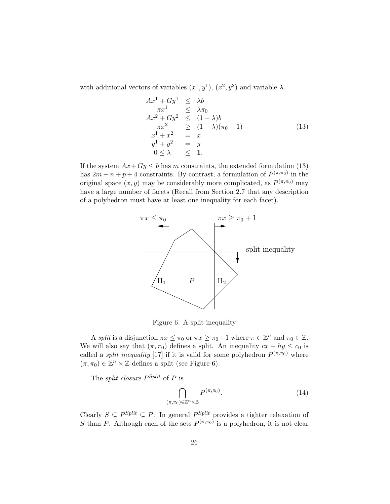with additional vectors of variables  $(x^1, y^1)$ ,  $(x^2, y^2)$  and variable  $\lambda$ .

$$
Ax1 + Gy1 \leq \lambda b
$$
  
\n
$$
ax1 + Gy2 \leq \lambda \pi_0
$$
  
\n
$$
Ax2 + Gy2 \leq (1 - \lambda)b
$$
  
\n
$$
ax2 \geq (1 - \lambda)(\pi_0 + 1)
$$
  
\n
$$
x1 + x2 = x
$$
  
\n
$$
y1 + y2 = y
$$
  
\n
$$
0 \leq \lambda \leq 1.
$$
  
\n(13)

If the system  $Ax+Gy \leq b$  has m constraints, the extended formulation (13) has  $2m + n + p + 4$  constraints. By contrast, a formulation of  $P^{(\pi,\pi_0)}$  in the original space  $(x, y)$  may be considerably more complicated, as  $P^{(\pi,\pi_0)}$  may have a large number of facets (Recall from Section 2.7 that any description of a polyhedron must have at least one inequality for each facet).



Figure 6: A split inequality

A split is a disjunction  $\pi x \leq \pi_0$  or  $\pi x \geq \pi_0 + 1$  where  $\pi \in \mathbb{Z}^n$  and  $\pi_0 \in \mathbb{Z}$ . We will also say that  $(\pi, \pi_0)$  defines a split. An inequality  $cx + hy \leq c_0$  is called a *split inequality* [17] if it is valid for some polyhedron  $P^{(\pi,\pi_0)}$  where  $(\pi, \pi_0) \in \mathbb{Z}^n \times \mathbb{Z}$  defines a split (see Figure 6).

The *split closure*  $P^{Split}$  of P is

$$
\bigcap_{(\pi,\pi_0)\in\mathbb{Z}^n\times\mathbb{Z}} P^{(\pi,\pi_0)}.\tag{14}
$$

Clearly  $S \subseteq P^{Split} \subseteq P$ . In general  $P^{Split}$  provides a tighter relaxation of S than P. Although each of the sets  $P^{(\pi,\pi_0)}$  is a polyhedron, it is not clear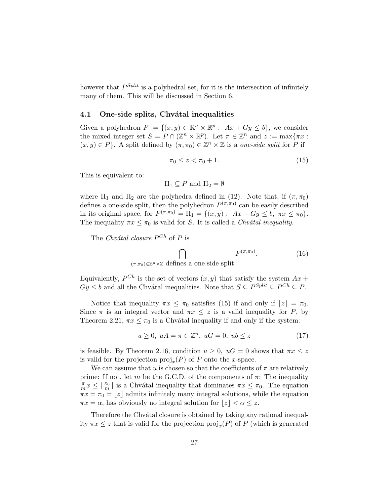however that  $P^{Split}$  is a polyhedral set, for it is the intersection of infinitely many of them. This will be discussed in Section 6.

#### 4.1 One-side splits, Chvátal inequalities

Given a polyhedron  $P := \{(x, y) \in \mathbb{R}^n \times \mathbb{R}^p : Ax + Gy \leq b\}$ , we consider the mixed integer set  $S = P \cap (\mathbb{Z}^n \times \mathbb{R}^p)$ . Let  $\pi \in \mathbb{Z}^n$  and  $z := \max{\pi x}$ :  $(x, y) \in P$ . A split defined by  $(\pi, \pi_0) \in \mathbb{Z}^n \times \mathbb{Z}$  is a one-side split for P if

$$
\pi_0 \le z < \pi_0 + 1. \tag{15}
$$

This is equivalent to:

$$
\Pi_1 \subseteq P \text{ and } \Pi_2 = \emptyset
$$

where  $\Pi_1$  and  $\Pi_2$  are the polyhedra defined in (12). Note that, if  $(\pi, \pi_0)$ defines a one-side split, then the polyhedron  $P^{(\pi,\pi_0)}$  can be easily described in its original space, for  $P^{(\pi,\pi_0)} = \Pi_1 = \{(x,y) : Ax + Gy \leq b, \pi x \leq \pi_0\}.$ The inequality  $\pi x \leq \pi_0$  is valid for S. It is called a Chvátal inequality.

The Chvátal closure  $P^{Ch}$  of P is

 $\sim$  $P^{(\pi,\pi_0)}$  $(16)$ 

 $(\pi,\pi_0) \in \mathbb{Z}^n \times \mathbb{Z}$  defines a one-side split

Equivalently,  $P^{Ch}$  is the set of vectors  $(x, y)$  that satisfy the system  $Ax +$  $Gy \leq b$  and all the Chvátal inequalities. Note that  $S \subseteq P^{Split} \subseteq P^{Ch} \subseteq P$ .

Notice that inequality  $\pi x \leq \pi_0$  satisfies (15) if and only if  $|z| = \pi_0$ . Since  $\pi$  is an integral vector and  $\pi x \leq z$  is a valid inequality for P, by Theorem 2.21,  $\pi x \leq \pi_0$  is a Chvátal inequality if and only if the system:

$$
u \ge 0, \ uA = \pi \in \mathbb{Z}^n, \ uG = 0, \ ub \le z \tag{17}
$$

is feasible. By Theorem 2.16, condition  $u \geq 0$ ,  $uG = 0$  shows that  $\pi x \leq z$ is valid for the projection  $proj_x(P)$  of P onto the x-space.

We can assume that u is chosen so that the coefficients of  $\pi$  are relatively prime: If not, let m be the G.C.D. of the components of  $\pi$ : The inequality π  $\frac{\pi}{m}x \leq \lfloor \frac{\pi}{m} \rfloor$  is a Chvátal inequality that dominates  $\pi x \leq \pi_0$ . The equation  $\pi x = \pi_0 = |z|$  admits infinitely many integral solutions, while the equation  $\pi x = \alpha$ , has obviously no integral solution for  $|z| < \alpha \leq z$ .

Therefore the Chvátal closure is obtained by taking any rational inequality  $\pi x \leq z$  that is valid for the projection  $\text{proj}_x(P)$  of P (which is generated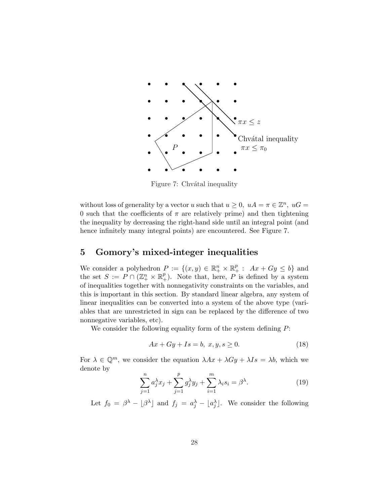

Figure 7: Chvátal inequality

without loss of generality by a vector u such that  $u \geq 0$ ,  $uA = \pi \in \mathbb{Z}^n$ ,  $uG =$ 0 such that the coefficients of  $\pi$  are relatively prime) and then tightening the inequality by decreasing the right-hand side until an integral point (and hence infinitely many integral points) are encountered. See Figure 7.

# 5 Gomory's mixed-integer inequalities

We consider a polyhedron  $P := \{(x, y) \in \mathbb{R}^n_+ \times \mathbb{R}^p_+ : Ax + Gy \le b\}$  and the set  $S := P \cap (\mathbb{Z}_+^n \times \mathbb{R}_+^p)$ . Note that, here, P is defined by a system of inequalities together with nonnegativity constraints on the variables, and this is important in this section. By standard linear algebra, any system of linear inequalities can be converted into a system of the above type (variables that are unrestricted in sign can be replaced by the difference of two nonnegative variables, etc).

We consider the following equality form of the system defining  $P$ :

$$
Ax + Gy + Is = b, x, y, s \ge 0.
$$
\n
$$
(18)
$$

For  $\lambda \in \mathbb{Q}^m$ , we consider the equation  $\lambda Ax + \lambda Gy + \lambda Is = \lambda b$ , which we denote by

$$
\sum_{j=1}^{n} a_j^{\lambda} x_j + \sum_{j=1}^{p} g_j^{\lambda} y_j + \sum_{i=1}^{m} \lambda_i s_i = \beta^{\lambda}.
$$
 (19)

Let  $f_0 = \beta^{\lambda} - \lfloor \beta^{\lambda} \rfloor$  and  $f_j = a_j^{\lambda} - \lfloor a_j^{\lambda} \rfloor$ . We consider the following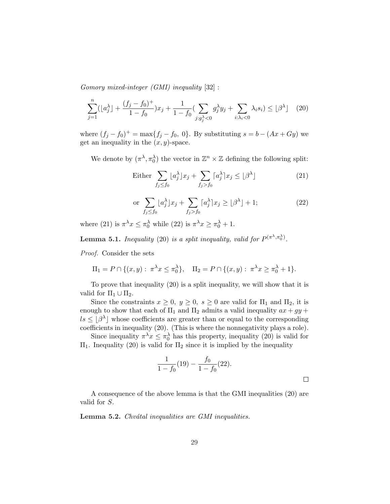Gomory mixed-integer (GMI) inequality [32] :

$$
\sum_{j=1}^{n} (\lfloor a_j^{\lambda} \rfloor + \frac{(f_j - f_0)^{+}}{1 - f_0}) x_j + \frac{1}{1 - f_0} \left( \sum_{j: g_j^{\lambda} < 0} g_j^{\lambda} y_j + \sum_{i: \lambda_i < 0} \lambda_i s_i \right) \leq \lfloor \beta^{\lambda} \rfloor \tag{20}
$$

where  $(f_j - f_0)^+ = \max\{f_j - f_0, 0\}$ . By substituting  $s = b - (Ax + Gy)$  we get an inequality in the  $(x, y)$ -space.

We denote by  $(\pi^{\lambda}, \pi_0^{\lambda})$  the vector in  $\mathbb{Z}^n \times \mathbb{Z}$  defining the following split:

Either 
$$
\sum_{f_j \le f_0} \lfloor a_j^{\lambda} \rfloor x_j + \sum_{f_j > f_0} \lceil a_j^{\lambda} \rceil x_j \le \lfloor \beta^{\lambda} \rfloor \tag{21}
$$

$$
\text{or } \sum_{f_j \le f_0} \lfloor a_j^{\lambda} \rfloor x_j + \sum_{f_j > f_0} \lceil a_j^{\lambda} \rceil x_j \ge \lfloor \beta^{\lambda} \rfloor + 1; \tag{22}
$$

where (21) is  $\pi^{\lambda} x \leq \pi_0^{\lambda}$  while (22) is  $\pi^{\lambda} x \geq \pi_0^{\lambda} + 1$ .

**Lemma 5.1.** Inequality (20) is a split inequality, valid for  $P^{(\pi^{\lambda}, \pi_0^{\lambda})}$ .

Proof. Consider the sets

$$
\Pi_1 = P \cap \{(x, y) : \pi^{\lambda} x \le \pi_0^{\lambda}\}, \quad \Pi_2 = P \cap \{(x, y) : \pi^{\lambda} x \ge \pi_0^{\lambda} + 1\}.
$$

To prove that inequality (20) is a split inequality, we will show that it is valid for  $\Pi_1 \cup \Pi_2$ .

Since the constraints  $x \geq 0$ ,  $y \geq 0$ ,  $s \geq 0$  are valid for  $\Pi_1$  and  $\Pi_2$ , it is enough to show that each of  $\Pi_1$  and  $\Pi_2$  admits a valid inequality  $ax + gy +$  $ls \leq |\beta^{\lambda}|$  whose coefficients are greater than or equal to the corresponding coefficients in inequality (20). (This is where the nonnegativity plays a role).

Since inequality  $\pi^{\lambda} x \leq \pi_0^{\lambda}$  has this property, inequality (20) is valid for  $\Pi$ <sub>1</sub>. Inequality (20) is valid for  $\Pi$ <sub>2</sub> since it is implied by the inequality

$$
\frac{1}{1 - f_0}(19) - \frac{f_0}{1 - f_0}(22).
$$

A consequence of the above lemma is that the GMI inequalities (20) are valid for S.

Lemma 5.2. Chvátal inequalities are GMI inequalities.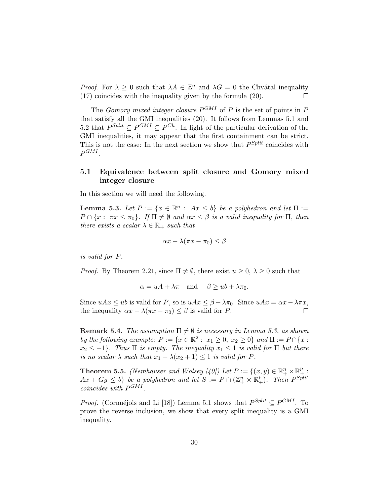*Proof.* For  $\lambda \geq 0$  such that  $\lambda A \in \mathbb{Z}^n$  and  $\lambda G = 0$  the Chvátal inequality (17) coincides with the inequality given by the formula (20).  $\Box$ 

The *Gomory mixed integer closure*  $P^{GMI}$  of P is the set of points in P that satisfy all the GMI inequalities (20). It follows from Lemmas 5.1 and 5.2 that  $P^{Split} \subseteq P^{GMI} \subseteq P^{Ch}$ . In light of the particular derivation of the GMI inequalities, it may appear that the first containment can be strict. This is not the case: In the next section we show that  $P^{Split}$  coincides with  $P^{GMI}$ .

## 5.1 Equivalence between split closure and Gomory mixed integer closure

In this section we will need the following.

**Lemma 5.3.** Let  $P := \{x \in \mathbb{R}^n : Ax \leq b\}$  be a polyhedron and let  $\Pi :=$  $P \cap \{x : \pi x \leq \pi_0\}$ . If  $\Pi \neq \emptyset$  and  $\alpha x \leq \beta$  is a valid inequality for  $\Pi$ , then there exists a scalar  $\lambda \in \mathbb{R}_+$  such that

$$
\alpha x - \lambda(\pi x - \pi_0) \le \beta
$$

is valid for P.

*Proof.* By Theorem 2.21, since  $\Pi \neq \emptyset$ , there exist  $u \geq 0$ ,  $\lambda \geq 0$  such that

$$
\alpha = uA + \lambda \pi
$$
 and  $\beta \geq ub + \lambda \pi_0$ .

Since  $uAx \leq ub$  is valid for P, so is  $uAx \leq \beta - \lambda \pi_0$ . Since  $uAx = \alpha x - \lambda \pi x$ , the inequality  $\alpha x - \lambda(\pi x - \pi_0) \leq \beta$  is valid for P.  $\Box$ 

**Remark 5.4.** The assumption  $\Pi \neq \emptyset$  is necessary in Lemma 5.3, as shown by the following example:  $P := \{x \in \mathbb{R}^2 : x_1 \geq 0, x_2 \geq 0\}$  and  $\Pi := P \cap \{x : x_1 \geq 0\}$  $x_2 \leq -1$ . Thus  $\Pi$  is empty. The inequality  $x_1 \leq 1$  is valid for  $\Pi$  but there is no scalar  $\lambda$  such that  $x_1 - \lambda(x_2 + 1) \leq 1$  is valid for P.

**Theorem 5.5.** (Nemhauser and Wolsey [40]) Let  $P := \{(x, y) \in \mathbb{R}_+^n \times \mathbb{R}_+^p : \exists \theta \in \mathbb{R}_+^n \times \mathbb{R}_+^p\}$  $Ax+Gy \leq b$  be a polyhedron and let  $S := P \cap (\mathbb{Z}_{+}^{n} \times \mathbb{R}_{+}^{p})$ . Then  $P^{Split}$ coincides with  $P^{GMI}$ .

*Proof.* (Cornuéjols and Li [18]) Lemma 5.1 shows that  $P^{Split} \subseteq P^{GMI}$ . To prove the reverse inclusion, we show that every split inequality is a GMI inequality.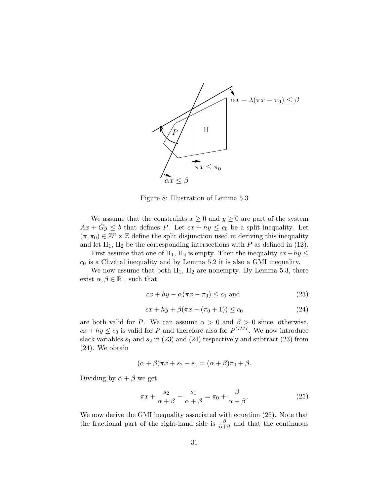

Figure 8: Illustration of Lemma 5.3

We assume that the constraints  $x \geq 0$  and  $y \geq 0$  are part of the system  $Ax + Gy \leq b$  that defines P. Let  $cx + hy \leq c_0$  be a split inequality. Let  $(\pi, \pi_0) \in \mathbb{Z}^n \times \mathbb{Z}$  define the split disjunction used in deriving this inequality and let  $\Pi_1$ ,  $\Pi_2$  be the corresponding intersections with P as defined in (12).

First assume that one of  $\Pi_1$ ,  $\Pi_2$  is empty. Then the inequality  $cx + hy \leq$  $c_0$  is a Chvátal inequality and by Lemma 5.2 it is also a GMI inequality.

We now assume that both  $\Pi_1$ ,  $\Pi_2$  are nonempty. By Lemma 5.3, there exist  $\alpha, \beta \in \mathbb{R}_+$  such that

$$
cx + hy - \alpha(\pi x - \pi_0) \le c_0 \text{ and } \tag{23}
$$

$$
cx + hy + \beta(\pi x - (\pi_0 + 1)) \le c_0 \tag{24}
$$

are both valid for P. We can assume  $\alpha > 0$  and  $\beta > 0$  since, otherwise,  $cx + hy \leq c_0$  is valid for P and therefore also for  $P^{GMI}$ . We now introduce slack variables  $s_1$  and  $s_2$  in (23) and (24) respectively and subtract (23) from (24). We obtain

$$
(\alpha + \beta)\pi x + s_2 - s_1 = (\alpha + \beta)\pi_0 + \beta.
$$

Dividing by  $\alpha + \beta$  we get

$$
\pi x + \frac{s_2}{\alpha + \beta} - \frac{s_1}{\alpha + \beta} = \pi_0 + \frac{\beta}{\alpha + \beta}.
$$
 (25)

We now derive the GMI inequality associated with equation (25). Note that the fractional part of the right-hand side is  $\frac{\beta}{\alpha+\beta}$  and that the continuous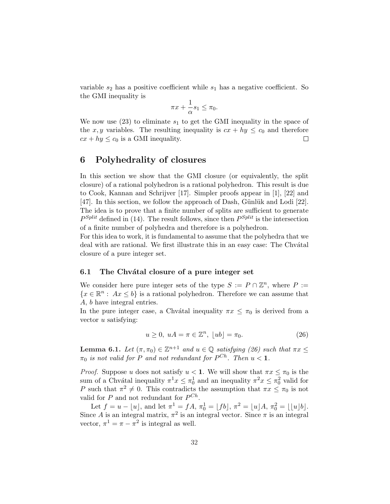variable  $s_2$  has a positive coefficient while  $s_1$  has a negative coefficient. So the GMI inequality is

$$
\pi x + \frac{1}{\alpha}s_1 \le \pi_0.
$$

We now use (23) to eliminate  $s_1$  to get the GMI inequality in the space of the x, y variables. The resulting inequality is  $cx + hy \leq c_0$  and therefore  $cx + hy \leq c_0$  is a GMI inequality.  $\Box$ 

# 6 Polyhedrality of closures

In this section we show that the GMI closure (or equivalently, the split closure) of a rational polyhedron is a rational polyhedron. This result is due to Cook, Kannan and Schrijver [17]. Simpler proofs appear in [1], [22] and [47]. In this section, we follow the approach of Dash, Günlük and Lodi  $[22]$ . The idea is to prove that a finite number of splits are sufficient to generate  $P^{Split}$  defined in (14). The result follows, since then  $P^{Split}$  is the intersection of a finite number of polyhedra and therefore is a polyhedron.

For this idea to work, it is fundamental to assume that the polyhedra that we deal with are rational. We first illustrate this in an easy case: The Chvatal closure of a pure integer set.

#### 6.1 The Chvátal closure of a pure integer set

We consider here pure integer sets of the type  $S := P \cap \mathbb{Z}^n$ , where  $P :=$  $\{x \in \mathbb{R}^n : Ax \leq b\}$  is a rational polyhedron. Therefore we can assume that A, b have integral entries.

In the pure integer case, a Chvátal inequality  $\pi x \leq \pi_0$  is derived from a vector u satisfying:

$$
u \ge 0, \ uA = \pi \in \mathbb{Z}^n, \ [ub] = \pi_0. \tag{26}
$$

**Lemma 6.1.** Let  $(\pi, \pi_0) \in \mathbb{Z}^{n+1}$  and  $u \in \mathbb{Q}$  satisfying (26) such that  $\pi x \leq$  $\pi_0$  is not valid for P and not redundant for  $P^{Ch}$ . Then  $u < 1$ .

*Proof.* Suppose u does not satisfy  $u < 1$ . We will show that  $\pi x \leq \pi_0$  is the sum of a Chvátal inequality  $\pi^1 x \leq \pi_0^1$  and an inequality  $\pi^2 x \leq \pi_0^2$  valid for P such that  $\pi^2 \neq 0$ . This contradicts the assumption that  $\pi x \leq \pi_0$  is not valid for  $P$  and not redundant for  $P^{Ch}$ .

Let  $f = u - \lfloor u \rfloor$ , and let  $\pi^1 = fA$ ,  $\pi_0^1 = \lfloor f b \rfloor$ ,  $\pi^2 = \lfloor u \rfloor A$ ,  $\pi_0^2 = \lfloor \lfloor u \rfloor b \rfloor$ . Since A is an integral matrix,  $\pi^2$  is an integral vector. Since  $\pi$  is an integral vector,  $\pi^1 = \pi - \pi^2$  is integral as well.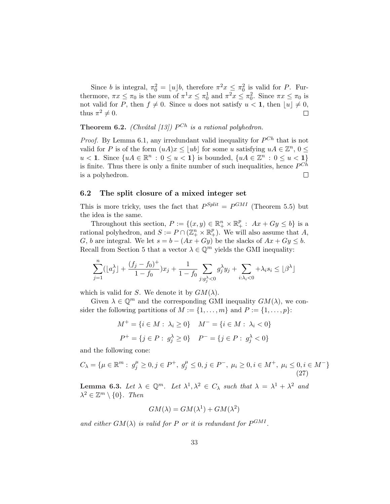Since b is integral,  $\pi_0^2 = \lfloor u \rfloor b$ , therefore  $\pi^2 x \leq \pi_0^2$  is valid for P. Furthermore,  $\pi x \leq \pi_0$  is the sum of  $\pi^1 x \leq \pi_0^1$  and  $\pi^2 x \leq \pi_0^2$ . Since  $\pi x \leq \pi_0$  is not valid for P, then  $f \neq 0$ . Since u does not satisfy  $u < 1$ , then  $[u] \neq 0$ , thus  $\pi^2 \neq 0$ .  $\Box$ 

**Theorem 6.2.** (Chvátal [13])  $P^{Ch}$  is a rational polyhedron.

*Proof.* By Lemma 6.1, any irredundant valid inequality for  $P^{Ch}$  that is not valid for P is of the form  $(uA)x \le |ub|$  for some u satisfying  $uA \in \mathbb{Z}^n$ ,  $0 \le$  $u < 1$ . Since  $\{uA \in \mathbb{R}^n : 0 \le u < 1\}$  is bounded,  $\{uA \in \mathbb{Z}^n : 0 \le u < 1\}$ is finite. Thus there is only a finite number of such inequalities, hence  $P^{Ch}$ is a polyhedron.  $\Box$ 

#### 6.2 The split closure of a mixed integer set

This is more tricky, uses the fact that  $P^{Split} = P^{GMI}$  (Theorem 5.5) but the idea is the same.

Throughout this section,  $P := \{(x, y) \in \mathbb{R}^n_+ \times \mathbb{R}^p_+ : Ax + Gy \leq b\}$  is a rational polyhedron, and  $S := P \cap (\mathbb{Z}_+^n \times \mathbb{R}_+^p)$ . We will also assume that A, G, b are integral. We let  $s = b - (Ax + Gy)$  be the slacks of  $Ax + Gy \leq b$ . Recall from Section 5 that a vector  $\lambda \in \mathbb{Q}^m$  yields the GMI inequality:

$$
\sum_{j=1}^n (\lfloor a_j^\lambda\rfloor + \frac{(f_j-f_0)^+}{1-f_0})x_j + \frac{1}{1-f_0}\sum_{j: g_j^\lambda<0} g_j^\lambda y_j + \sum_{i: \lambda_i<0} + \lambda_i s_i \leq \lfloor \beta^\lambda\rfloor
$$

which is valid for S. We denote it by  $GM(\lambda)$ .

Given  $\lambda \in \mathbb{Q}^m$  and the corresponding GMI inequality  $GM(\lambda)$ , we consider the following partitions of  $M := \{1, \ldots, m\}$  and  $P := \{1, \ldots, p\}$ :

$$
M^{+} = \{i \in M : \lambda_i \ge 0\} \quad M^{-} = \{i \in M : \lambda_i < 0\}
$$
\n
$$
P^{+} = \{j \in P : g_j^{\lambda} \ge 0\} \quad P^{-} = \{j \in P : g_j^{\lambda} < 0\}
$$

and the following cone:

$$
C_{\lambda} = \{ \mu \in \mathbb{R}^m : g_j^{\mu} \ge 0, j \in P^+, g_j^{\mu} \le 0, j \in P^-, \mu_i \ge 0, i \in M^+, \mu_i \le 0, i \in M^- \}
$$
\n
$$
(27)
$$

**Lemma 6.3.** Let  $\lambda \in \mathbb{Q}^m$ . Let  $\lambda^1, \lambda^2 \in C_{\lambda}$  such that  $\lambda = \lambda^1 + \lambda^2$  and  $\lambda^2 \in \mathbb{Z}^m \setminus \{0\}$ . Then

$$
GM(\lambda) = GM(\lambda^{1}) + GM(\lambda^{2})
$$

and either  $GM(\lambda)$  is valid for P or it is redundant for  $P^{GMI}$ .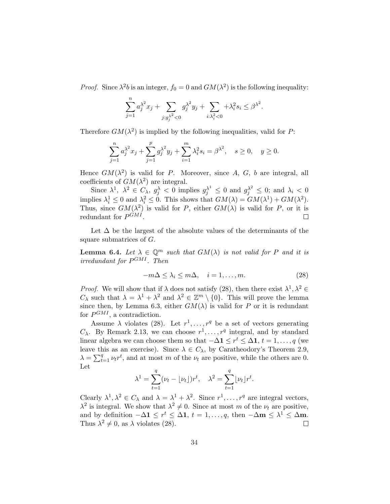*Proof.* Since  $\lambda^2 b$  is an integer,  $f_0 = 0$  and  $GM(\lambda^2)$  is the following inequality:

$$
\sum_{j=1}^{n} a_j^{\lambda^2} x_j + \sum_{j: g_j^{\lambda^2} < 0} g_j^{\lambda^2} y_j + \sum_{i: \lambda_i^2 < 0} + \lambda_i^2 s_i \le \beta^{\lambda^2}.
$$

Therefore  $GM(\lambda^2)$  is implied by the following inequalities, valid for P:

$$
\sum_{j=1}^{n} a_j^{\lambda^2} x_j + \sum_{j=1}^{p} g_j^{\lambda^2} y_j + \sum_{i=1}^{m} \lambda_i^2 s_i = \beta^{\lambda^2}, \quad s \ge 0, \quad y \ge 0.
$$

Hence  $GM(\lambda^2)$  is valid for P. Moreover, since A, G, b are integral, all coefficients of  $GM(\lambda^2)$  are integral.

Since  $\lambda^1$ ,  $\lambda^2 \in C_\lambda$ ,  $g_j^\lambda < 0$  implies  $g_j^{\lambda^1} \leq 0$  and  $g_j^{\lambda^2} \leq 0$ ; and  $\lambda_i < 0$ implies  $\lambda_i^1 \leq 0$  and  $\lambda_i^2 \leq 0$ . This shows that  $GM(\lambda) = GM(\lambda^1) + GM(\lambda^2)$ . Thus, since  $GM(\lambda^2)$  is valid for P, either  $GM(\lambda)$  is valid for P, or it is redundant for  $P^{GMI}$ .  $\Box$ 

Let  $\Delta$  be the largest of the absolute values of the determinants of the square submatrices of G.

**Lemma 6.4.** Let  $\lambda \in \mathbb{Q}^m$  such that  $GM(\lambda)$  is not valid for P and it is irredundant for P GMI . Then

$$
-m\Delta \le \lambda_i \le m\Delta, \quad i = 1, \dots, m. \tag{28}
$$

*Proof.* We will show that if  $\lambda$  does not satisfy (28), then there exist  $\lambda^1, \lambda^2 \in$  $C_{\lambda}$  such that  $\lambda = \lambda^1 + \lambda^2$  and  $\lambda^2 \in \mathbb{Z}^m \setminus \{0\}$ . This will prove the lemma since then, by Lemma 6.3, either  $GM(\lambda)$  is valid for P or it is redundant for  $P^{GMI}$ , a contradiction.

Assume  $\lambda$  violates (28). Let  $r^1, \ldots, r^q$  be a set of vectors generating  $C_{\lambda}$ . By Remark 2.13, we can choose  $r^1, \ldots, r^q$  integral, and by standard linear algebra we can choose them so that  $-\Delta \mathbf{1} \leq r^t \leq \Delta \mathbf{1}, t = 1, \ldots, q$  (we leave this as an exercise). Since  $\lambda \in C_{\lambda}$ , by Caratheodory's Theorem 2.9,  $\lambda = \sum_{t=1}^{q}$  $_{t=1}^{q}$   $\nu_t r^t$ , and at most m of the  $\nu_t$  are positive, while the others are 0. Let

$$
\lambda^{1} = \sum_{t=1}^{q} (\nu_t - \lfloor \nu_t \rfloor) r^t, \quad \lambda^{2} = \sum_{t=1}^{q} \lfloor \nu_t \rfloor r^t.
$$

Clearly  $\lambda^1, \lambda^2 \in C_\lambda$  and  $\lambda = \lambda^1 + \lambda^2$ . Since  $r^1, \ldots, r^q$  are integral vectors,  $\lambda^2$  is integral. We show that  $\lambda^2 \neq 0$ . Since at most m of the  $\nu_t$  are positive, and by definition  $-\Delta \mathbf{1} \leq r^t \leq \Delta \mathbf{1}$ ,  $t = 1, \ldots, q$ , then  $-\Delta \mathbf{m} \leq \lambda^1 \leq \Delta \mathbf{m}$ . Thus  $\lambda^2 \neq 0$ , as  $\lambda$  violates (28).  $\Box$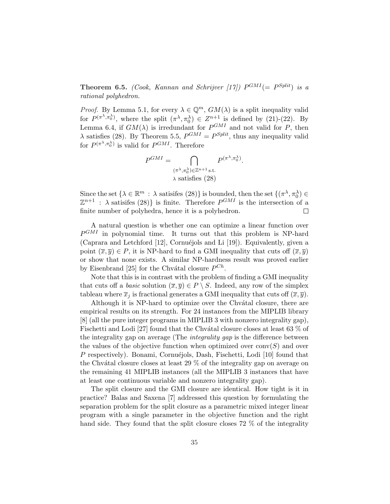**Theorem 6.5.** (Cook, Kannan and Schrijver [17])  $P^{GMI} (= P^{Split})$  is a rational polyhedron.

*Proof.* By Lemma 5.1, for every  $\lambda \in \mathbb{Q}^m$ ,  $GM(\lambda)$  is a split inequality valid for  $P^{(\pi^{\lambda}, \pi_0^{\lambda})}$ , where the split  $(\pi^{\lambda}, \pi_0^{\lambda}) \in Z^{n+1}$  is defined by (21)-(22). By Lemma 6.4, if  $GM(\lambda)$  is irredundant for  $P^{GMI}$  and not valid for P, then  $\lambda$  satisfies (28). By Theorem 5.5,  $P^{GMI} = P^{Split}$ , thus any inequality valid for  $P^{(\pi^{\lambda}, \pi_0^{\lambda})}$  is valid for  $P^{GMI}$ . Therefore

$$
P^{GMI} = \bigcap_{\substack{(\pi^{\lambda}, \pi_0^{\lambda}) \in \mathbb{Z}^{n+1} \text{ s.t.} \\ \lambda \text{ satisfies (28)}}
$$

Since the set  $\{\lambda \in \mathbb{R}^m : \lambda \text{ satisfies (28)}\}$  is bounded, then the set  $\{(\pi^\lambda, \pi_0^\lambda) \in$  $\mathbb{Z}^{n+1}$  :  $\lambda$  satisifes (28)} is finite. Therefore  $P^{GMI}$  is the intersection of a finite number of polyhedra, hence it is a polyhedron.  $\Box$ 

A natural question is whether one can optimize a linear function over  $P^{GMI}$  in polynomial time. It turns out that this problem is NP-hard (Caprara and Letchford  $[12]$ , Cornuéjols and Li  $[19]$ ). Equivalently, given a point  $(\overline{x}, \overline{y}) \in P$ , it is NP-hard to find a GMI inequality that cuts off  $(\overline{x}, \overline{y})$ or show that none exists. A similar NP-hardness result was proved earlier by Eisenbrand [25] for the Chvátal closure  $P^{Ch}$ .

Note that this is in contrast with the problem of finding a GMI inequality that cuts off a *basic* solution  $(\overline{x}, \overline{y}) \in P \setminus S$ . Indeed, any row of the simplex tableau where  $\overline{x}_i$  is fractional generates a GMI inequality that cuts off  $(\overline{x}, \overline{y})$ .

Although it is NP-hard to optimize over the Chvatal closure, there are empirical results on its strength. For 24 instances from the MIPLIB library [8] (all the pure integer programs in MIPLIB 3 with nonzero integrality gap), Fischetti and Lodi [27] found that the Chvátal closure closes at least 63  $\%$  of the integrality gap on average (The *integrality gap* is the difference between the values of the objective function when optimized over  $conv(S)$  and over P respectively). Bonami, Cornuéjols, Dash, Fischetti, Lodi [10] found that the Chvátal closure closes at least  $29\%$  of the integrality gap on average on the remaining 41 MIPLIB instances (all the MIPLIB 3 instances that have at least one continuous variable and nonzero integrality gap).

The split closure and the GMI closure are identical. How tight is it in practice? Balas and Saxena [7] addressed this question by formulating the separation problem for the split closure as a parametric mixed integer linear program with a single parameter in the objective function and the right hand side. They found that the split closure closes 72 % of the integrality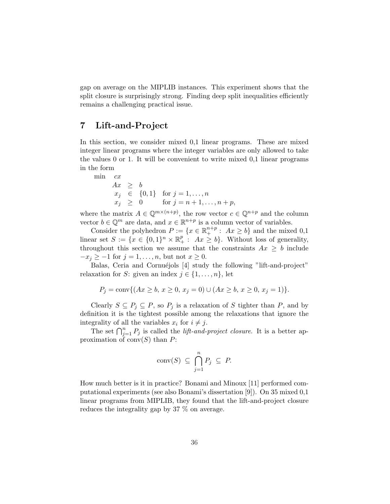gap on average on the MIPLIB instances. This experiment shows that the split closure is surprisingly strong. Finding deep split inequalities efficiently remains a challenging practical issue.

# 7 Lift-and-Project

min

In this section, we consider mixed 0,1 linear programs. These are mixed integer linear programs where the integer variables are only allowed to take the values 0 or 1. It will be convenient to write mixed 0,1 linear programs in the form

$$
c x
$$
  
\n
$$
Ax \geq b
$$
  
\n
$$
x_j \in \{0, 1\} \text{ for } j = 1, ..., n
$$
  
\n
$$
x_j \geq 0 \text{ for } j = n+1, ..., n+p,
$$

where the matrix  $A \in \mathbb{Q}^{m \times (n+p)}$ , the row vector  $c \in \mathbb{Q}^{n+p}$  and the column vector  $b \in \mathbb{Q}^m$  are data, and  $x \in \mathbb{R}^{n+p}$  is a column vector of variables.

Consider the polyhedron  $P := \{x \in \mathbb{R}^{n+p}_+ : Ax \geq b\}$  and the mixed 0,1 linear set  $S := \{x \in \{0,1\}^n \times \mathbb{R}_+^p : Ax \geq b\}$ . Without loss of generality, throughout this section we assume that the constraints  $Ax \geq b$  include  $-x_j \geq -1$  for  $j = 1, \ldots, n$ , but not  $x \geq 0$ .

Balas, Ceria and Cornuéjols [4] study the following "lift-and-project" relaxation for S: given an index  $j \in \{1, \ldots, n\}$ , let

$$
P_j = \text{conv}\{(Ax \ge b, x \ge 0, x_j = 0) \cup (Ax \ge b, x \ge 0, x_j = 1)\}.
$$

Clearly  $S \subseteq P_j \subseteq P$ , so  $P_j$  is a relaxation of S tighter than P, and by definition it is the tightest possible among the relaxations that ignore the integrality of all the variables  $x_i$  for  $i \neq j$ .

gramty of an the variables  $x_i$  for  $i \neq j$ .<br>The set  $\bigcap_{j=1}^n P_j$  is called the *lift-and-project closure*. It is a better approximation of  $conv(S)$  than P:

$$
conv(S) \subseteq \bigcap_{j=1}^{n} P_j \subseteq P.
$$

How much better is it in practice? Bonami and Minoux [11] performed computational experiments (see also Bonami's dissertation [9]). On 35 mixed 0,1 linear programs from MIPLIB, they found that the lift-and-project closure reduces the integrality gap by 37 % on average.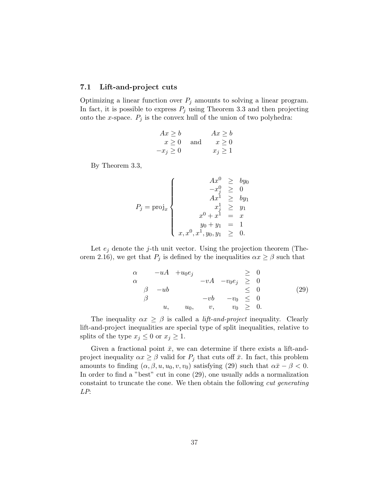#### 7.1 Lift-and-project cuts

Optimizing a linear function over  $P_j$  amounts to solving a linear program. In fact, it is possible to express  $P_j$  using Theorem 3.3 and then projecting onto the x-space.  $P_j$  is the convex hull of the union of two polyhedra:

$$
Ax \ge b
$$
  
\n
$$
x \ge 0
$$
 and 
$$
x \ge 0
$$
  
\n
$$
-x_j \ge 0
$$
 
$$
x_j \ge 1
$$

By Theorem 3.3,

$$
P_j = \text{proj}_x \begin{cases} \n & Ax^0 \geq by_0 \\ \n & -x^0_j \geq 0 \\ \n & Ax^1 \geq by_1 \\ \n & x^1_j \geq y_1 \\ \n & x^0 + x^1 = x \\ \n & y_0 + y_1 = 1 \\ \n & x, x^0, x^1, y_0, y_1 \geq 0. \n\end{cases}
$$

Let  $e_i$  denote the j-th unit vector. Using the projection theorem (Theorem 2.16), we get that  $P_j$  is defined by the inequalities  $\alpha x \ge \beta$  such that

$$
\alpha \quad -uA \quad +u_0 e_j \quad \geq \quad 0
$$
\n
$$
\alpha \quad -vA \quad -v_0 e_j \quad \geq \quad 0
$$
\n
$$
\beta \quad -u b \quad -v b \quad -v_0 \quad \leq \quad 0
$$
\n
$$
u, \quad u_0, \quad v, \quad v_0 \quad \geq \quad 0.
$$
\n(29)

The inequality  $\alpha x \geq \beta$  is called a *lift-and-project* inequality. Clearly lift-and-project inequalities are special type of split inequalities, relative to splits of the type  $x_j \leq 0$  or  $x_j \geq 1$ .

Given a fractional point  $\bar{x}$ , we can determine if there exists a lift-andproject inequality  $\alpha x \geq \beta$  valid for  $P_j$  that cuts off  $\bar{x}$ . In fact, this problem amounts to finding  $(\alpha, \beta, u, u_0, v, v_0)$  satisfying (29) such that  $\alpha \bar{x} - \beta < 0$ . In order to find a "best" cut in cone (29), one usually adds a normalization constaint to truncate the cone. We then obtain the following cut generating LP: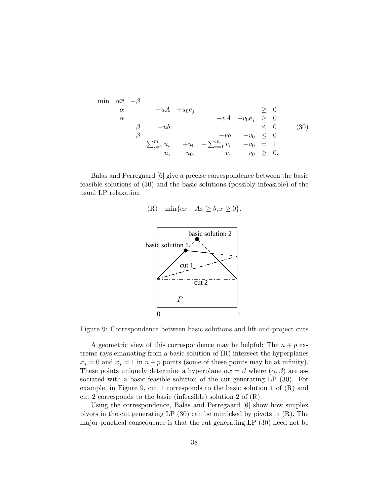$$
\min \begin{array}{ccc}\n\alpha \overline{x} & -\beta \\
\alpha & -uA & +u_0 e_j \\
\alpha & & -vA & -v_0 e_j \geq 0 \\
\beta & -ub & & \leq 0 \\
\beta & & -vb & -v_0 \leq 0 \\
\sum_{i=1}^m u_i + u_0 + \sum_{i=1}^m v_i + v_0 = 1 \\
u, u_0, & v, v_0 \geq 0.\n\end{array}
$$
\n(30)

Balas and Perregaard [6] give a precise correspondence between the basic feasible solutions of (30) and the basic solutions (possibly infeasible) of the usual LP relaxation

(R) 
$$
\min\{cx: Ax \geq b, x \geq 0\}.
$$



Figure 9: Correspondence between basic solutions and lift-and-project cuts

A geometric view of this correspondence may be helpful: The  $n + p$  extreme rays emanating from a basic solution of (R) intersect the hyperplanes  $x_j = 0$  and  $x_j = 1$  in  $n + p$  points (some of these points may be at infinity). These points uniquely determine a hyperplane  $\alpha x = \beta$  where  $(\alpha, \beta)$  are associated with a basic feasible solution of the cut generating LP (30). For example, in Figure 9, cut 1 corresponds to the basic solution 1 of (R) and cut 2 corresponds to the basic (infeasible) solution 2 of (R).

Using the correspondence, Balas and Perregaard [6] show how simplex pivots in the cut generating LP (30) can be mimicked by pivots in (R). The major practical consequence is that the cut generating LP (30) need not be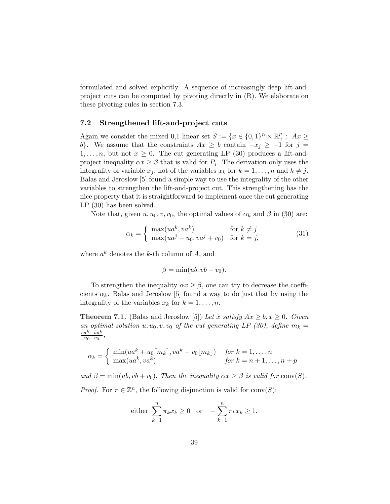formulated and solved explicitly. A sequence of increasingly deep lift-andproject cuts can be computed by pivoting directly in  $(R)$ . We elaborate on these pivoting rules in section 7.3.

#### 7.2 Strengthened lift-and-project cuts

Again we consider the mixed 0,1 linear set  $S := \{x \in \{0,1\}^n \times \mathbb{R}_+^p : Ax \geq 0\}$ b}. We assume that the constraints  $Ax \geq b$  contain  $-x_i \geq -1$  for  $j =$  $1, \ldots, n$ , but not  $x \geq 0$ . The cut generating LP (30) produces a lift-andproject inequality  $\alpha x \geq \beta$  that is valid for  $P_j$ . The derivation only uses the integrality of variable  $x_j$ , not of the variables  $x_k$  for  $k = 1, \ldots, n$  and  $k \neq j$ . Balas and Jeroslow [5] found a simple way to use the integrality of the other variables to strengthen the lift-and-project cut. This strengthening has the nice property that it is straightforward to implement once the cut generating LP (30) has been solved.

Note that, given  $u, u_0, v, v_0$ , the optimal values of  $\alpha_k$  and  $\beta$  in (30) are:

$$
\alpha_k = \begin{cases} \max(ua^k, va^k) & \text{for } k \neq j \\ \max(ua^j - u_0, va^j + v_0) & \text{for } k = j, \end{cases}
$$
(31)

where  $a^k$  denotes the k-th column of A, and

 $\beta = \min(ub, vb + v_0).$ 

To strengthen the inequality  $\alpha x \geq \beta$ , one can try to decrease the coefficients  $\alpha_k$ . Balas and Jeroslow [5] found a way to do just that by using the integrality of the variables  $x_k$  for  $k = 1, \ldots, n$ .

**Theorem 7.1.** (Balas and Jeroslow [5]) Let  $\bar{x}$  satisfy  $Ax \geq b, x \geq 0$ . Given an optimal solution u,  $u_0, v, v_0$  of the cut generating LP (30), define  $m_k =$  $va^k-ua^k$  $\frac{a^{\kappa}-ua^{\kappa}}{u_0+v_0}$ ,

$$
\alpha_k = \begin{cases} \min(ua^k + u_0 \lceil m_k \rceil, va^k - v_0 \lfloor m_k \rfloor) & \text{for } k = 1, ..., n \\ \max(ua^k, va^k) & \text{for } k = n+1, ..., n+p \end{cases}
$$

and  $\beta = \min(ub, vb + v_0)$ . Then the inequality  $\alpha x \geq \beta$  is valid for conv(S).

*Proof.* For  $\pi \in \mathbb{Z}^n$ , the following disjunction is valid for conv(S):

either 
$$
\sum_{k=1}^{n} \pi_k x_k \ge 0
$$
 or  $-\sum_{k=1}^{n} \pi_k x_k \ge 1$ .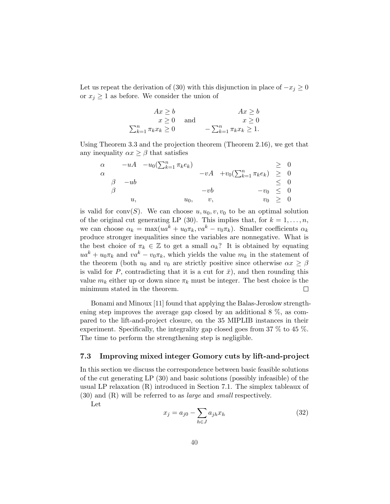Let us repeat the derivation of (30) with this disjunction in place of  $-x_j \geq 0$ or  $x_j \geq 1$  as before. We consider the union of

$$
Ax \ge b
$$
  
\n $x \ge 0$  and  $x \ge 0$   
\n
$$
\sum_{k=1}^{n} \pi_k x_k \ge 0
$$
  
\n
$$
- \sum_{k=1}^{n} \pi_k x_k \ge 1.
$$

Using Theorem 3.3 and the projection theorem (Theorem 2.16), we get that any inequality  $\alpha x \geq \beta$  that satisfies

$$
\alpha \longrightarrow uA \quad -u_0(\sum_{k=1}^n \pi_k e_k) \longrightarrow vA \quad +v_0(\sum_{k=1}^n \pi_k e_k) \geq 0
$$
  
\n
$$
\beta \longrightarrow u, \qquad -vb \qquad -v_0 \leq 0
$$
  
\n
$$
u_0, \qquad v, \qquad v_0 \geq 0
$$

is valid for conv $(S)$ . We can choose  $u, u_0, v, v_0$  to be an optimal solution of the original cut generating LP (30). This implies that, for  $k = 1, \ldots, n$ , we can choose  $\alpha_k = \max(ua^k + u_0 \pi_k, va^k - v_0 \pi_k)$ . Smaller coefficients  $\alpha_k$ produce stronger inequalities since the variables are nonnegative. What is the best choice of  $\pi_k \in \mathbb{Z}$  to get a small  $\alpha_k$ ? It is obtained by equating  $ua^{k} + u_{0} \pi_{k}$  and  $va^{k} - v_{0} \pi_{k}$ , which yields the value  $m_{k}$  in the statement of the theorem (both  $u_0$  and  $v_0$  are strictly positive since otherwise  $\alpha x \geq \beta$ is valid for P, contradicting that it is a cut for  $\bar{x}$ ), and then rounding this value  $m_k$  either up or down since  $\pi_k$  must be integer. The best choice is the minimum stated in the theorem.  $\Box$ 

Bonami and Minoux [11] found that applying the Balas-Jeroslow strengthening step improves the average gap closed by an additional 8 %, as compared to the lift-and-project closure, on the 35 MIPLIB instances in their experiment. Specifically, the integrality gap closed goes from 37 % to 45 %. The time to perform the strengthening step is negligible.

### 7.3 Improving mixed integer Gomory cuts by lift-and-project

In this section we discuss the correspondence between basic feasible solutions of the cut generating LP (30) and basic solutions (possibly infeasible) of the usual LP relaxation (R) introduced in Section 7.1. The simplex tableaux of (30) and (R) will be referred to as large and small respectively.

Let

$$
x_j = a_{j0} - \sum_{h \in J} a_{jh} x_h \tag{32}
$$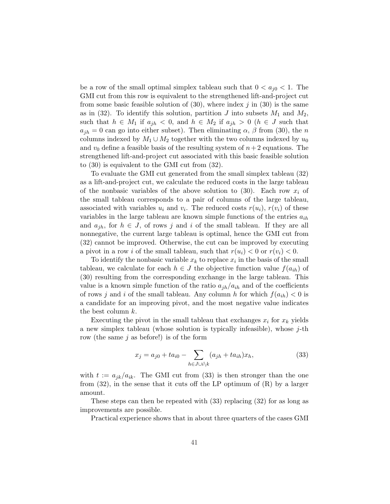be a row of the small optimal simplex tableau such that  $0 < a_{i0} < 1$ . The GMI cut from this row is equivalent to the strengthened lift-and-project cut from some basic feasible solution of  $(30)$ , where index j in  $(30)$  is the same as in (32). To identify this solution, partition  $J$  into subsets  $M_1$  and  $M_2$ , such that  $h \in M_1$  if  $a_{jh} < 0$ , and  $h \in M_2$  if  $a_{jh} > 0$   $(h \in J$  such that  $a_{ih} = 0$  can go into either subset). Then eliminating  $\alpha$ ,  $\beta$  from (30), the n columns indexed by  $M_1 \cup M_2$  together with the two columns indexed by  $u_0$ and  $v_0$  define a feasible basis of the resulting system of  $n+2$  equations. The strengthened lift-and-project cut associated with this basic feasible solution to (30) is equivalent to the GMI cut from (32).

To evaluate the GMI cut generated from the small simplex tableau (32) as a lift-and-project cut, we calculate the reduced costs in the large tableau of the nonbasic variables of the above solution to  $(30)$ . Each row  $x_i$  of the small tableau corresponds to a pair of columns of the large tableau, associated with variables  $u_i$  and  $v_i$ . The reduced costs  $r(u_i)$ ,  $r(v_i)$  of these variables in the large tableau are known simple functions of the entries  $a_{ih}$ and  $a_{ih}$ , for  $h \in J$ , of rows j and i of the small tableau. If they are all nonnegative, the current large tableau is optimal, hence the GMI cut from (32) cannot be improved. Otherwise, the cut can be improved by executing a pivot in a row i of the small tableau, such that  $r(u_i) < 0$  or  $r(v_i) < 0$ .

To identify the nonbasic variable  $x_k$  to replace  $x_i$  in the basis of the small tableau, we calculate for each  $h \in J$  the objective function value  $f(a_{ih})$  of (30) resulting from the corresponding exchange in the large tableau. This value is a known simple function of the ratio  $a_{jh}/a_{ih}$  and of the coefficients of rows j and i of the small tableau. Any column h for which  $f(a_{ih}) < 0$  is a candidate for an improving pivot, and the most negative value indicates the best column k.

Executing the pivot in the small tableau that exchanges  $x_i$  for  $x_k$  yields a new simplex tableau (whose solution is typically infeasible), whose  $j$ -th row (the same  $j$  as before!) is of the form

$$
x_j = a_{j0} + ta_{i0} - \sum_{h \in J \cup i \backslash k} (a_{jh} + ta_{ih})x_h,
$$
\n(33)

with  $t := a_{ik}/a_{ik}$ . The GMI cut from (33) is then stronger than the one from  $(32)$ , in the sense that it cuts off the LP optimum of  $(R)$  by a larger amount.

These steps can then be repeated with (33) replacing (32) for as long as improvements are possible.

Practical experience shows that in about three quarters of the cases GMI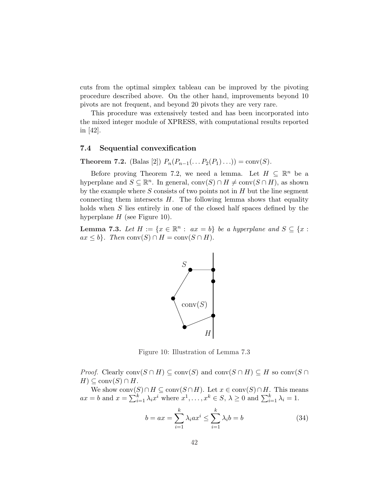cuts from the optimal simplex tableau can be improved by the pivoting procedure described above. On the other hand, improvements beyond 10 pivots are not frequent, and beyond 20 pivots they are very rare.

This procedure was extensively tested and has been incorporated into the mixed integer module of XPRESS, with computational results reported in [42].

### 7.4 Sequential convexification

Theorem 7.2. (Balas [2])  $P_n(P_{n-1}(\ldots P_2(P_1)\ldots)) = \text{conv}(S)$ .

Before proving Theorem 7.2, we need a lemma. Let  $H \subseteq \mathbb{R}^n$  be a hyperplane and  $S \subseteq \mathbb{R}^n$ . In general,  $\text{conv}(S) \cap H \neq \text{conv}(S \cap H)$ , as shown by the example where  $S$  consists of two points not in  $H$  but the line segment connecting them intersects  $H$ . The following lemma shows that equality holds when S lies entirely in one of the closed half spaces defined by the hyperplane  $H$  (see Figure 10).

**Lemma 7.3.** Let  $H := \{x \in \mathbb{R}^n : ax = b\}$  be a hyperplane and  $S \subseteq \{x : b\}$  $ax \leq b$ . Then conv $(S) \cap H = \text{conv}(S \cap H)$ .



Figure 10: Illustration of Lemma 7.3

*Proof.* Clearly  $conv(S \cap H) \subseteq conv(S)$  and  $conv(S \cap H) \subseteq H$  so  $conv(S \cap H)$  $H) \subseteq \text{conv}(S) \cap H$ .

We show  $\text{conv}(S) \cap H \subseteq \text{conv}(S \cap H)$ . Let  $x \in \text{conv}(S) \cap H$ . This means we show conv $\alpha$ <br> $ax = b$  and  $x = \sum_{i=1}^{k}$  $\sum_{i=1}^{k} \lambda_i x^i$  where  $x^1, \ldots, x^k \in S, \lambda \geq 0$  and  $\sum_{i=1}^{k} \lambda_i = 1$ .

$$
b = ax = \sum_{i=1}^{k} \lambda_i ax^i \le \sum_{i=1}^{k} \lambda_i b = b \tag{34}
$$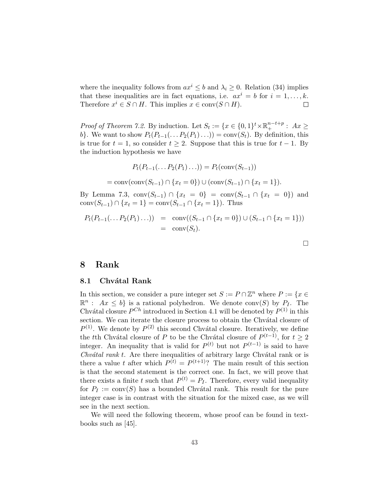where the inequality follows from  $ax^i \leq b$  and  $\lambda_i \geq 0$ . Relation (34) implies that these inequalities are in fact equations, i.e.  $ax^i = b$  for  $i = 1, \ldots, k$ . Therefore  $x^i \in S \cap H$ . This implies  $x \in \text{conv}(S \cap H)$ .  $\Box$ 

*Proof of Theorem 7.2.* By induction. Let  $S_t := \{x \in \{0,1\}^t \times \mathbb{R}_+^{n-t+p} : Ax \geq 0\}$ b}. We want to show  $P_t(P_{t-1}(\ldots P_2(P_1)\ldots)) = \text{conv}(S_t)$ . By definition, this is true for  $t = 1$ , so consider  $t \geq 2$ . Suppose that this is true for  $t - 1$ . By the induction hypothesis we have

$$
P_t(P_{t-1}(\dots P_2(P_1)\dots)) = P_t(\text{conv}(S_{t-1}))
$$
  
= conv(conv(S\_{t-1}) \cap \{x\_t = 0\}) \cup (conv(S\_{t-1}) \cap \{x\_t = 1\}).

By Lemma 7.3,  $\text{conv}(S_{t-1}) \cap \{x_t = 0\} = \text{conv}(S_{t-1} \cap \{x_t = 0\})$  and conv $(S_{t-1}) \cap \{x_t = 1\} = \text{conv}(S_{t-1} \cap \{x_t = 1\})$ . Thus

$$
P_t(P_{t-1}(\ldots P_2(P_1)\ldots)) = \text{conv}((S_{t-1} \cap \{x_t = 0\}) \cup (S_{t-1} \cap \{x_t = 1\}))
$$
  
= \text{conv}(S\_t).

# 8 Rank

#### 8.1 Chvátal Rank

In this section, we consider a pure integer set  $S := P \cap \mathbb{Z}^n$  where  $P := \{x \in \mathbb{Z}^n : |f(x)| \leq 1 \}$  $\mathbb{R}^n$ :  $Ax \leq b$  is a rational polyhedron. We denote conv(S) by  $P_I$ . The Chvátal closure  $P^{Ch}$  introduced in Section 4.1 will be denoted by  $P^{(1)}$  in this section. We can iterate the closure process to obtain the Chvátal closure of  $P^{(1)}$ . We denote by  $P^{(2)}$  this second Chvátal closure. Iteratively, we define the tth Chvátal closure of P to be the Chvátal closure of  $P^{(t-1)}$ , for  $t \geq 2$ integer. An inequality that is valid for  $P^{(t)}$  but not  $P^{(t-1)}$  is said to have  $Chvátal rank t$ . Are there inequalities of arbitrary large Chvátal rank or is there a value t after which  $P^{(t)} = P^{(t+1)}$ ? The main result of this section is that the second statement is the correct one. In fact, we will prove that there exists a finite t such that  $P^{(t)} = P_I$ . Therefore, every valid inequality for  $P_I := conv(S)$  has a bounded Chvátal rank. This result for the pure integer case is in contrast with the situation for the mixed case, as we will see in the next section.

We will need the following theorem, whose proof can be found in textbooks such as [45].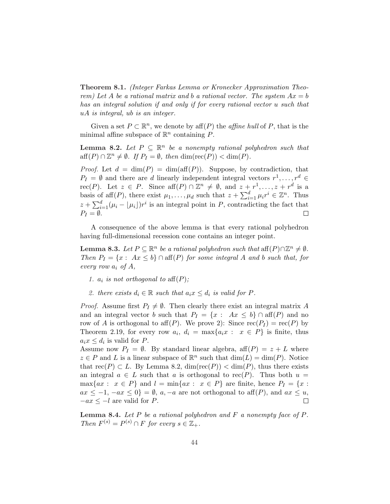Theorem 8.1. (Integer Farkas Lemma or Kronecker Approximation Theorem) Let A be a rational matrix and b a rational vector. The system  $Ax = b$ has an integral solution if and only if for every rational vector u such that uA is integral, ub is an integer.

Given a set  $P \subset \mathbb{R}^n$ , we denote by aff $(P)$  the *affine hull* of P, that is the minimal affine subspace of  $\mathbb{R}^n$  containing P.

**Lemma 8.2.** Let  $P \subseteq \mathbb{R}^n$  be a nonempty rational polyhedron such that  $\text{aff}(P) \cap \mathbb{Z}^n \neq \emptyset$ . If  $P_I = \emptyset$ , then  $\dim(\text{rec}(P)) < \dim(P)$ .

*Proof.* Let  $d = \dim(P) = \dim(\text{aff}(P))$ . Suppose, by contradiction, that  $P_I = \emptyset$  and there are d linearly independent integral vectors  $r^1, \ldots, r^d \in$ rec(P). Let  $z \in P$ . Since  $\text{aff}(P) \cap \mathbb{Z}^n \neq \emptyset$ , and  $z + r^1, \ldots, z + r^d$  is a basis of aff(P), there exist  $\mu_1, \ldots, \mu_d$  such that  $z + \sum_{i=1}^{d}$ is on integral point in  $P$  controllating the feat that  $\sum_{i=1}^{d} \mu_i r^i \in \mathbb{Z}^n$ . Thus  $z + \sum_{i=1}^{d} (\mu_i - \lfloor \mu_i \rfloor) r^i$  is an integral point in P, contradicting the fact that  $P_I = \emptyset$ .  $\Box$ 

A consequence of the above lemma is that every rational polyhedron having full-dimensional recession cone contains an integer point.

**Lemma 8.3.** Let  $P \subseteq \mathbb{R}^n$  be a rational polyhedron such that  $\text{aff}(P) \cap \mathbb{Z}^n \neq \emptyset$ . Then  $P_I = \{x : Ax \leq b\} \cap aff(P)$  for some integral A and b such that, for every row  $a_i$  of A,

- 1.  $a_i$  is not orthogonal to  $aff(P);$
- 2. there exists  $d_i \in \mathbb{R}$  such that  $a_i x \leq d_i$  is valid for P.

*Proof.* Assume first  $P_I \neq \emptyset$ . Then clearly there exist an integral matrix A and an integral vector b such that  $P_I = \{x : Ax \leq b\} \cap aff(P)$  and no row of A is orthogonal to aff(P). We prove 2): Since  $rec(P_I) = rec(P)$  by Theorem 2.19, for every row  $a_i, d_i = \max\{a_i x : x \in P\}$  is finite, thus  $a_i x \leq d_i$  is valid for P.

Assume now  $P_I = \emptyset$ . By standard linear algebra, aff $(P) = z + L$  where  $z \in P$  and L is a linear subspace of  $\mathbb{R}^n$  such that  $\dim(L) = \dim(P)$ . Notice that  $rec(P) \subset L$ . By Lemma 8.2,  $dim(rec(P)) < dim(P)$ , thus there exists an integral  $a \in L$  such that a is orthogonal to rec $(P)$ . Thus both  $u =$  $\max\{ax : x \in P\}$  and  $l = \min\{ax : x \in P\}$  are finite, hence  $P_I = \{x :$  $ax \leq -1, -ax \leq 0$  =  $\emptyset$ ,  $a, -a$  are not orthogonal to aff(P), and  $ax \leq u$ ,  $-ax \leq -l$  are valid for P.  $\Box$ 

**Lemma 8.4.** Let P be a rational polyhedron and F a nonempty face of P. Then  $F^{(s)} = P^{(s)} \cap F$  for every  $s \in \mathbb{Z}_+$ .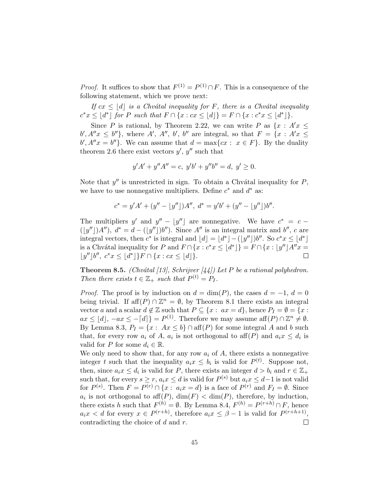*Proof.* It suffices to show that  $F^{(1)} = P^{(1)} \cap F$ . This is a consequence of the following statement, which we prove next:

If  $cx \leq |d|$  is a Chvátal inequality for F, there is a Chvátal inequality  $c^*x \le |d^*|$  for P such that  $F \cap \{x : cx \le |d|\} = F \cap \{x : c^*x \le |d^*|\}.$ 

Since P is rational, by Theorem 2.22, we can write P as  $\{x : A'x \leq \}$  $b', A''x \leq b''\},\$  where A', A'', b', b'' are integral, so that  $F = \{x : A'x \leq b''\}$  $b', A''x = b''$ . We can assume that  $d = \max\{cx : x \in F\}$ . By the duality theorem 2.6 there exist vectors  $y', y''$  such that

$$
y'A' + y''A'' = c, \ y'b' + y''b'' = d, \ y' \ge 0.
$$

Note that  $y''$  is unrestricted in sign. To obtain a Chvátal inequality for  $P$ , we have to use nonnegative multipliers. Define  $c^*$  and  $d^*$  as:

$$
c^* = y'A' + (y'' - \lfloor y'' \rfloor)A'', \ d^* = y'b' + (y'' - \lfloor y'' \rfloor)b''.
$$

The multipliers y' and  $y'' - |y''|$  are nonnegative. We have  $c^* = c (|y''|)A'$ ,  $d^* = d - (|y''|)b''$ . Since A'' is an integral matrix and b'', c are integral vectors, then c<sup>\*</sup> is integral and  $|d| = |d^*| - (|y''|)b''$ . So  $c^*x \leq |d^*|$ is a Chvátal inequality for P and  $F \cap \{x : c^*x \leq |d^*|\} = F \cap \{x : |y''|A''x =$  $|y''|b'', c^*x \leq |d^*|$   $\}F \cap \{x : cx \leq |d|\}.$  $\Box$ 

**Theorem 8.5.** (Chvátal [13], Schrijver [44]) Let P be a rational polyhedron. Then there exists  $t \in \mathbb{Z}_+$  such that  $P^{(t)} = P_I$ .

*Proof.* The proof is by induction on  $d = \dim(P)$ , the cases  $d = -1$ ,  $d = 0$ being trivial. If  $\text{aff}(P) \cap \mathbb{Z}^n = \emptyset$ , by Theorem 8.1 there exists an integral vector a and a scalar  $d \notin \mathbb{Z}$  such that  $P \subseteq \{x : ax = d\}$ , hence  $P_I = \emptyset = \{x : a \in I\}$  $ax \le |d|, -ax \le -[d]\} = P^{(1)}$ . Therefore we may assume  $\text{aff}(P) \cap \mathbb{Z}^n \neq \emptyset$ . By Lemma 8.3,  $P_I = \{x : Ax \leq b\} \cap aff(P)$  for some integral A and b such that, for every row  $a_i$  of A,  $a_i$  is not orthogonal to  $\text{aff}(P)$  and  $a_ix \leq d_i$  is valid for P for some  $d_i \in \mathbb{R}$ .

We only need to show that, for any row  $a_i$  of  $A$ , there exists a nonnegative integer t such that the inequality  $a_i x \leq b_i$  is valid for  $P^{(t)}$ . Suppose not, then, since  $a_i x \leq d_i$  is valid for P, there exists an integer  $d > b_i$  and  $r \in \mathbb{Z}_+$ such that, for every  $s \geq r$ ,  $a_i x \leq d$  is valid for  $P^{(s)}$  but  $a_i x \leq d-1$  is not valid for  $P^{(s)}$ . Then  $F = P^{(r)} \cap \{x : a_i x = d\}$  is a face of  $P^{(r)}$  and  $F_I = \emptyset$ . Since  $a_i$  is not orthogonal to  $\operatorname{aff}(P)$ ,  $\dim(F) < \dim(P)$ , therefore, by induction, there exists h such that  $F^{(h)} = \emptyset$ . By Lemma 8.4,  $F^{(h)} = P^{(r+h)} \cap F$ , hence  $a_i x < d$  for every  $x \in P^{(r+h)}$ , therefore  $a_i x \leq \beta - 1$  is valid for  $P^{(r+h+1)}$ , contradicting the choice of d and r.  $\Box$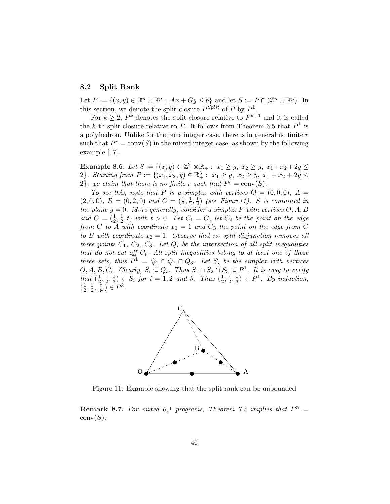#### 8.2 Split Rank

Let  $P := \{(x, y) \in \mathbb{R}^n \times \mathbb{R}^p : Ax + Gy \le b\}$  and let  $S := P \cap (\mathbb{Z}^n \times \mathbb{R}^p)$ . In this section, we denote the split closure  $P^{Split}$  of P by  $P^1$ .

For  $k \geq 2$ ,  $P^k$  denotes the split closure relative to  $P^{k-1}$  and it is called the k-th split closure relative to P. It follows from Theorem 6.5 that  $P^k$  is a polyhedron. Unlike for the pure integer case, there is in general no finite  $r$ such that  $P^r = \text{conv}(S)$  in the mixed integer case, as shown by the following example [17].

Example 8.6. Let  $S := \{(x, y) \in \mathbb{Z}_+^2 \times \mathbb{R}_+ : x_1 \geq y, x_2 \geq y, x_1 + x_2 + 2y \leq y\}$ 2}. Starting from  $P := \{(x_1, x_2, y) \in \mathbb{R}^3_+ : x_1 \geq y, x_2 \geq y, x_1 + x_2 + 2y \leq y\}$  $2$ , we claim that there is no finite r such that  $P^r = \text{conv}(S)$ .

To see this, note that P is a simplex with vertices  $O = (0, 0, 0)$ ,  $A =$  $(2,0,0), B = (0,2,0)$  and  $C = (\frac{1}{2},\frac{1}{2})$  $\frac{1}{2}, \frac{1}{2}$  $\frac{1}{2}$ ) (see Figure11). S is contained in the plane  $y = 0$ . More generally, consider a simplex P with vertices  $O, A, B$ and  $C = (\frac{1}{2}, \frac{1}{2})$  $(\frac{1}{2}, t)$  with  $t > 0$ . Let  $C_1 = C$ , let  $C_2$  be the point on the edge from C to A with coordinate  $x_1 = 1$  and  $C_3$  the point on the edge from C to B with coordinate  $x_2 = 1$ . Observe that no split disjunction removes all three points  $C_1$ ,  $C_2$ ,  $C_3$ . Let  $Q_i$  be the intersection of all split inequalities that do not cut off  $C_i$ . All split inequalities belong to at least one of these three sets, thus  $P^1 = Q_1 \cap Q_2 \cap Q_3$ . Let  $S_i$  be the simplex with vertices  $O, A, B, C_i$ . Clearly,  $S_i \subseteq Q_i$ . Thus  $S_1 \cap S_2 \cap S_3 \subseteq P^1$ . It is easy to verify that  $(\frac{1}{2})$  $\frac{1}{2}, \frac{1}{2}$  $\frac{1}{2}, \frac{t}{3}$  $(\frac{t}{3}) \in S_i$  for  $i = 1, 2$  and 3. Thus  $(\frac{1}{2})$  $\frac{1}{2}, \frac{1}{2}$  $\frac{1}{2}, \frac{t}{3}$  $(\frac{t}{3}) \in P^1$ . By induction,  $\left(\frac{1}{2}\right)$  $\frac{1}{2}, \frac{1}{2}$  $\frac{1}{2},\frac{7}{3'}$  $\overline{\frac{t}{3^k}}$ )  $\in P^k$ .



Figure 11: Example showing that the split rank can be unbounded

**Remark 8.7.** For mixed 0,1 programs, Theorem 7.2 implies that  $P^n =$  $conv(S)$ .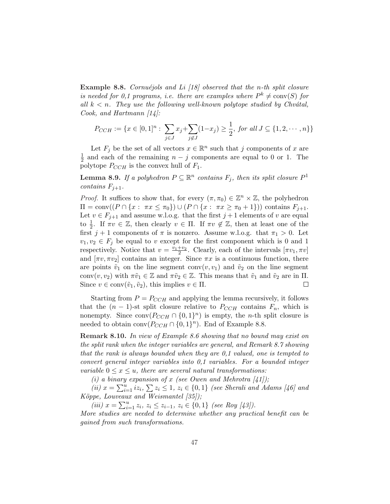**Example 8.8.** Cornuéjols and Li  $\begin{bmatrix} 18 \end{bmatrix}$  observed that the n-th split closure is needed for 0,1 programs, i.e. there are examples where  $P^k \neq \text{conv}(S)$  for all  $k < n$ . They use the following well-known polytope studied by Chvátal, Cook, and Hartmann [14]:

$$
P_{CCH} := \{ x \in [0,1]^n : \sum_{j \in J} x_j + \sum_{j \notin J} (1-x_j) \ge \frac{1}{2}, \text{ for all } J \subseteq \{1,2,\cdots,n\} \}
$$

Let  $F_j$  be the set of all vectors  $x \in \mathbb{R}^n$  such that j components of x are 1  $\frac{1}{2}$  and each of the remaining  $n - j$  components are equal to 0 or 1. The polytope  $P_{CCH}$  is the convex hull of  $F_1$ .

**Lemma 8.9.** If a polyhedron  $P \subseteq \mathbb{R}^n$  contains  $F_j$ , then its split closure  $P^1$ contains  $F_{j+1}$ .

*Proof.* It suffices to show that, for every  $(\pi, \pi_0) \in \mathbb{Z}^n \times \mathbb{Z}$ , the polyhedron  $\Pi = \text{conv}((P \cap \{x : \pi x \leq \pi_0\}) \cup (P \cap \{x : \pi x \geq \pi_0 + 1\}))$  contains  $F_{j+1}$ . Let  $v \in F_{j+1}$  and assume w.l.o.g. that the first  $j+1$  elements of v are equal to  $\frac{1}{2}$ . If  $\pi v \in \mathbb{Z}$ , then clearly  $v \in \Pi$ . If  $\pi v \notin \mathbb{Z}$ , then at least one of the first  $j + 1$  components of  $\pi$  is nonzero. Assume w.l.o.g. that  $\pi_1 > 0$ . Let  $v_1, v_2 \in F_i$  be equal to v except for the first component which is 0 and 1 respectively. Notice that  $v = \frac{v_1+v_2}{2}$ . Clearly, each of the intervals  $[\pi v_1, \pi v]$ and  $[\pi v, \pi v_2]$  contains an integer. Since  $\pi x$  is a continuous function, there are points  $\tilde{v}_1$  on the line segment conv $(v, v_1)$  and  $\tilde{v}_2$  on the line segment conv $(v, v_2)$  with  $\pi \tilde{v}_1 \in \mathbb{Z}$  and  $\pi \tilde{v}_2 \in \mathbb{Z}$ . This means that  $\tilde{v}_1$  and  $\tilde{v}_2$  are in  $\Pi$ . Since  $v \in \text{conv}(\tilde{v}_1, \tilde{v}_2)$ , this implies  $v \in \Pi$ .  $\Box$ 

Starting from  $P = P_{CCH}$  and applying the lemma recursively, it follows that the  $(n-1)$ -st split closure relative to  $P_{CCH}$  contains  $F_n$ , which is nonempty. Since  $conv(P_{CCH} \cap \{0,1\}^n)$  is empty, the *n*-th split closure is needed to obtain  $conv(P_{CCH} \cap \{0,1\}^n)$ . End of Example 8.8.

Remark 8.10. In view of Example 8.6 showing that no bound may exist on the split rank when the integer variables are general, and Remark 8.7 showing that the rank is always bounded when they are 0,1 valued, one is tempted to convert general integer variables into 0,1 variables. For a bounded integer variable  $0 \leq x \leq u$ , there are several natural transformations:

(i) a binary expansion of x (see Owen and Mehrotra  $\vert 41 \vert$ );

(*i*)  $x = \sum_{i=1}^{n}$ g expansion of x (see Owen and Menrotra [41]);<br> $\sum_{i=1}^{u} iz_i$ ,  $\sum z_i \leq 1$ ,  $z_i \in \{0,1\}$  (see Sherali and Adams [46] and Köppe, Louveaux and Weismantel [35]);<br> $\lim_{n \to \infty} \sum_{n=0}^{\infty} \sum_{n=0}^{\infty}$ 

(iii)  $x = \sum_{i=1}^{u} z_i, z_i \leq z_{i-1}, z_i \in \{0, 1\}$  (see Roy [43]).

More studies are needed to determine whether any practical benefit can be gained from such transformations.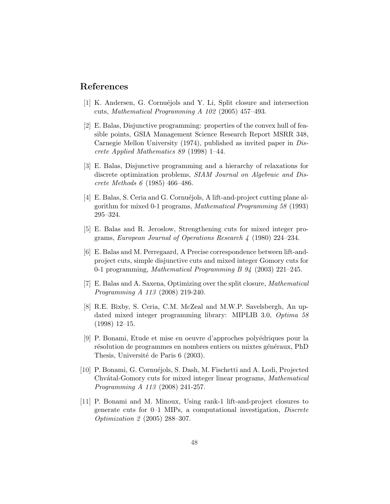# References

- [1] K. Andersen, G. Cornuéjols and Y. Li, Split closure and intersection cuts, Mathematical Programming A 102 (2005) 457–493.
- [2] E. Balas, Disjunctive programming: properties of the convex hull of feasible points, GSIA Management Science Research Report MSRR 348, Carnegie Mellon University (1974), published as invited paper in Discrete Applied Mathematics 89 (1998) 1–44.
- [3] E. Balas, Disjunctive programming and a hierarchy of relaxations for discrete optimization problems, SIAM Journal on Algebraic and Discrete Methods 6 (1985) 466–486.
- [4] E. Balas, S. Ceria and G. Cornuéjols, A lift-and-project cutting plane algorithm for mixed 0-1 programs, Mathematical Programming 58 (1993) 295–324.
- [5] E. Balas and R. Jeroslow, Strengthening cuts for mixed integer programs, European Journal of Operations Research 4 (1980) 224–234.
- [6] E. Balas and M. Perregaard, A Precise correspondence between lift-andproject cuts, simple disjunctive cuts and mixed integer Gomory cuts for 0-1 programming, Mathematical Programming B 94 (2003) 221–245.
- [7] E. Balas and A. Saxena, Optimizing over the split closure, Mathematical Programming A 113 (2008) 219-240.
- [8] R.E. Bixby, S. Ceria, C.M. McZeal and M.W.P. Savelsbergh, An updated mixed integer programming library: MIPLIB 3.0, Optima 58 (1998) 12–15.
- [9] P. Bonami, Etude et mise en oeuvre d'approches polyédriques pour la résolution de programmes en nombres entiers ou mixtes généraux, PhD Thesis, Université de Paris 6 (2003).
- [10] P. Bonami, G. Cornu´ejols, S. Dash, M. Fischetti and A. Lodi, Projected Chvátal-Gomory cuts for mixed integer linear programs, Mathematical Programming A 113 (2008) 241-257.
- [11] P. Bonami and M. Minoux, Using rank-1 lift-and-project closures to generate cuts for 0–1 MIPs, a computational investigation, Discrete Optimization 2 (2005) 288–307.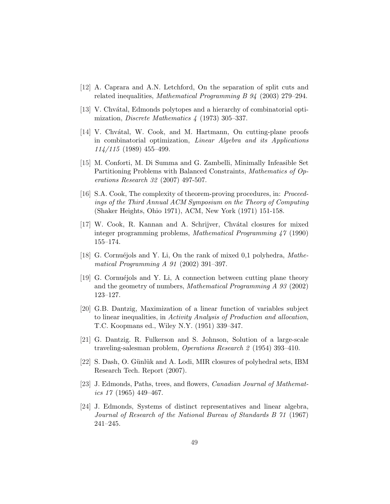- [12] A. Caprara and A.N. Letchford, On the separation of split cuts and related inequalities, Mathematical Programming B 94 (2003) 279–294.
- [13] V. Chvátal, Edmonds polytopes and a hierarchy of combinatorial optimization, Discrete Mathematics 4 (1973) 305–337.
- [14] V. Chvátal, W. Cook, and M. Hartmann, On cutting-plane proofs in combinatorial optimization, Linear Algebra and its Applications 114/115 (1989) 455–499.
- [15] M. Conforti, M. Di Summa and G. Zambelli, Minimally Infeasible Set Partitioning Problems with Balanced Constraints, Mathematics of Operations Research 32 (2007) 497-507.
- [16] S.A. Cook, The complexity of theorem-proving procedures, in: Proceedings of the Third Annual ACM Symposium on the Theory of Computing (Shaker Heights, Ohio 1971), ACM, New York (1971) 151-158.
- [17] W. Cook, R. Kannan and A. Schrijver, Chvátal closures for mixed integer programming problems, Mathematical Programming 47 (1990) 155–174.
- [18] G. Cornuéjols and Y. Li, On the rank of mixed 0,1 polyhedra,  $\textit{Mathe-}$ matical Programming A 91 (2002) 391–397.
- [19] G. Cornué jols and Y. Li, A connection between cutting plane theory and the geometry of numbers, Mathematical Programming A 93 (2002) 123–127.
- [20] G.B. Dantzig, Maximization of a linear function of variables subject to linear inequalities, in Activity Analysis of Production and allocation, T.C. Koopmans ed., Wiley N.Y. (1951) 339–347.
- [21] G. Dantzig. R. Fulkerson and S. Johnson, Solution of a large-scale traveling-salesman problem, Operations Research 2 (1954) 393–410.
- [22] S. Dash, O. Günlük and A. Lodi, MIR closures of polyhedral sets, IBM Research Tech. Report (2007).
- [23] J. Edmonds, Paths, trees, and flowers, Canadian Journal of Mathematics 17 (1965) 449–467.
- [24] J. Edmonds, Systems of distinct representatives and linear algebra, Journal of Research of the National Bureau of Standards B 71 (1967) 241–245.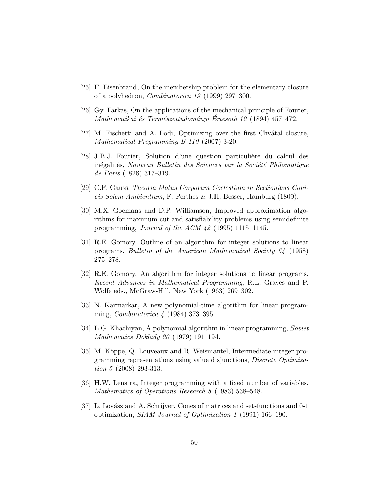- [25] F. Eisenbrand, On the membership problem for the elementary closure of a polyhedron, Combinatorica 19 (1999) 297–300.
- [26] Gy. Farkas, On the applications of the mechanical principle of Fourier, Mathematikai és Természettudományi Értesotö 12 (1894) 457–472.
- [27] M. Fischetti and A. Lodi, Optimizing over the first Chvátal closure, Mathematical Programming B 110 (2007) 3-20.
- [28] J.B.J. Fourier, Solution d'une question particulière du calcul des inégalités, Nouveau Bulletin des Sciences par la Société Philomatique de Paris (1826) 317–319.
- [29] C.F. Gauss, Theoria Motus Corporum Coelestium in Sectionibus Conicis Solem Ambientium, F. Perthes & J.H. Besser, Hamburg (1809).
- [30] M.X. Goemans and D.P. Williamson, Improved approximation algorithms for maximum cut and satisfiability problems using semidefinite programming, Journal of the ACM 42 (1995) 1115–1145.
- [31] R.E. Gomory, Outline of an algorithm for integer solutions to linear programs, Bulletin of the American Mathematical Society 64 (1958) 275–278.
- [32] R.E. Gomory, An algorithm for integer solutions to linear programs, Recent Advances in Mathematical Programming, R.L. Graves and P. Wolfe eds., McGraw-Hill, New York (1963) 269–302.
- [33] N. Karmarkar, A new polynomial-time algorithm for linear programming, Combinatorica 4 (1984) 373–395.
- [34] L.G. Khachiyan, A polynomial algorithm in linear programming, Soviet Mathematics Doklady 20 (1979) 191–194.
- [35] M. Köppe, Q. Louveaux and R. Weismantel, Intermediate integer programming representations using value disjunctions, Discrete Optimization 5 (2008) 293-313.
- [36] H.W. Lenstra, Integer programming with a fixed number of variables, Mathematics of Operations Research 8 (1983) 538–548.
- [37] L. Lovász and A. Schrijver, Cones of matrices and set-functions and 0-1 optimization, SIAM Journal of Optimization 1 (1991) 166–190.